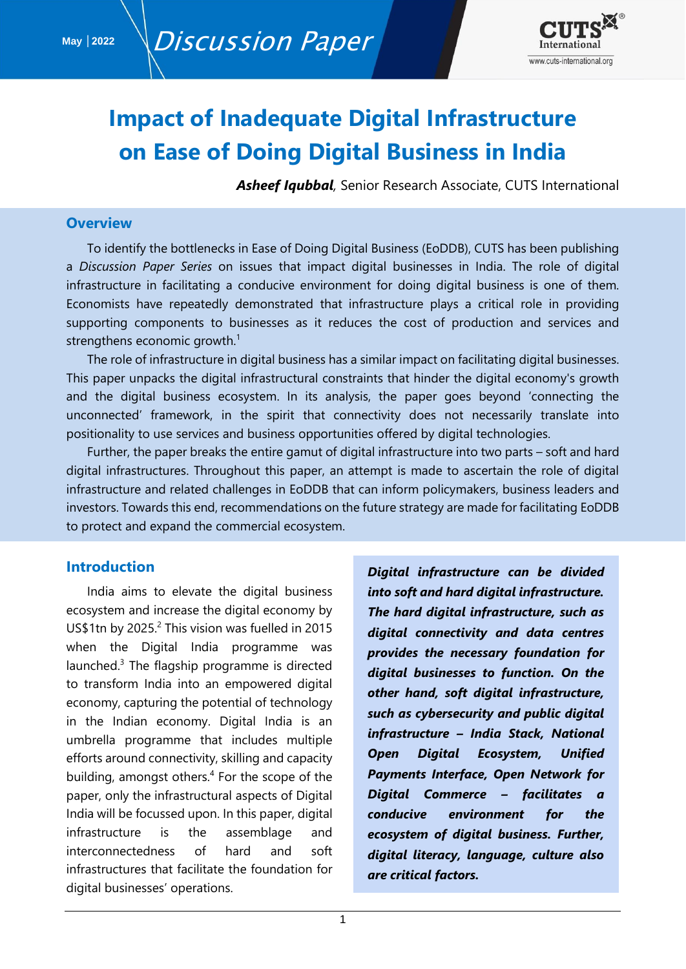

# **Impact of Inadequate Digital Infrastructure on Ease of Doing Digital Business in India**

*Asheef Iqubbal,* Senior Research Associate, CUTS International

#### **Overview**

To identify the bottlenecks in Ease of Doing Digital Business (EoDDB), CUTS has been publishing a *Discussion Paper Series* on issues that impact digital businesses in India. The role of digital infrastructure in facilitating a conducive environment for doing digital business is one of them. Economists have repeatedly demonstrated that infrastructure plays a critical role in providing supporting components to businesses as it reduces the cost of production and services and strengthens economic growth.<sup>1</sup>

The role of infrastructure in digital business has a similar impact on facilitating digital businesses. This paper unpacks the digital infrastructural constraints that hinder the digital economy's growth and the digital business ecosystem. In its analysis, the paper goes beyond 'connecting the unconnected' framework, in the spirit that connectivity does not necessarily translate into positionality to use services and business opportunities offered by digital technologies.

Further, the paper breaks the entire gamut of digital infrastructure into two parts – soft and hard digital infrastructures. Throughout this paper, an attempt is made to ascertain the role of digital infrastructure and related challenges in EoDDB that can inform policymakers, business leaders and investors. Towards this end, recommendations on the future strategy are made for facilitating EoDDB to protect and expand the commercial ecosystem.

## **Introduction**

India aims to elevate the digital business ecosystem and increase the digital economy by US\$1tn by 2025. $^2$  This vision was fuelled in 2015 when the Digital India programme was launched.<sup>3</sup> The flagship programme is directed to transform India into an empowered digital economy, capturing the potential of technology in the Indian economy. Digital India is an umbrella programme that includes multiple efforts around connectivity, skilling and capacity building, amongst others.<sup>4</sup> For the scope of the paper, only the infrastructural aspects of Digital India will be focussed upon. In this paper, digital infrastructure is the assemblage and interconnectedness of hard and soft infrastructures that facilitate the foundation for digital businesses' operations.

*Digital infrastructure can be divided into soft and hard digital infrastructure. The hard digital infrastructure, such as digital connectivity and data centres provides the necessary foundation for digital businesses to function. On the other hand, soft digital infrastructure, such as cybersecurity and public digital infrastructure – India Stack, National Open Digital Ecosystem, Unified Payments Interface, Open Network for Digital Commerce – facilitates a conducive environment for the ecosystem of digital business. Further, digital literacy, language, culture also are critical factors.*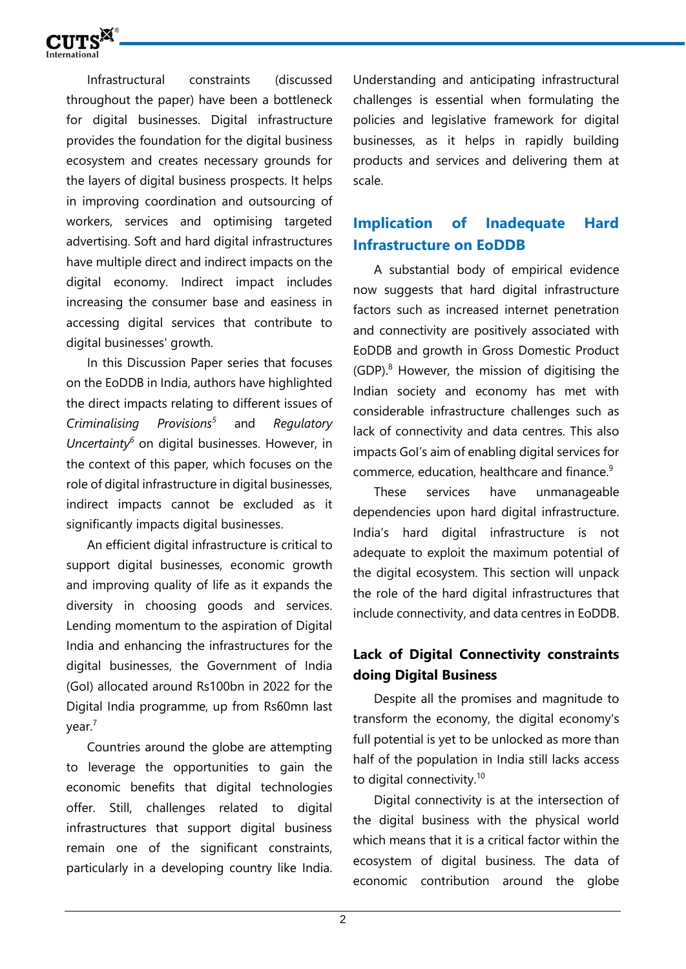

Infrastructural constraints (discussed throughout the paper) have been a bottleneck for digital businesses. Digital infrastructure provides the foundation for the digital business ecosystem and creates necessary grounds for the layers of digital business prospects. It helps in improving coordination and outsourcing of workers, services and optimising targeted advertising. Soft and hard digital infrastructures have multiple direct and indirect impacts on the digital economy. Indirect impact includes increasing the consumer base and easiness in accessing digital services that contribute to digital businesses' growth.

In this Discussion Paper series that focuses on the EoDDB in India, authors have highlighted the direct impacts relating to different issues of *Criminalising Provisions<sup>5</sup>* and *Regulatory Uncertainty<sup>6</sup>* on digital businesses. However, in the context of this paper, which focuses on the role of digital infrastructure in digital businesses, indirect impacts cannot be excluded as it significantly impacts digital businesses.

An efficient digital infrastructure is critical to support digital businesses, economic growth and improving quality of life as it expands the diversity in choosing goods and services. Lending momentum to the aspiration of Digital India and enhancing the infrastructures for the digital businesses, the Government of India (GoI) allocated around Rs100bn in 2022 for the Digital India programme, up from Rs60mn last year.<sup>7</sup>

Countries around the globe are attempting to leverage the opportunities to gain the economic benefits that digital technologies offer. Still, challenges related to digital infrastructures that support digital business remain one of the significant constraints, particularly in a developing country like India. Understanding and anticipating infrastructural challenges is essential when formulating the policies and legislative framework for digital businesses, as it helps in rapidly building products and services and delivering them at scale.

# **Implication of Inadequate Hard Infrastructure on EoDDB**

A substantial body of empirical evidence now suggests that hard digital infrastructure factors such as increased internet penetration and connectivity are positively associated with EoDDB and growth in Gross Domestic Product  $(GDP)<sup>8</sup>$  However, the mission of digitising the Indian society and economy has met with considerable infrastructure challenges such as lack of connectivity and data centres. This also impacts GoI's aim of enabling digital services for commerce, education, healthcare and finance.<sup>9</sup>

These services have unmanageable dependencies upon hard digital infrastructure. India's hard digital infrastructure is not adequate to exploit the maximum potential of the digital ecosystem. This section will unpack the role of the hard digital infrastructures that include connectivity, and data centres in EoDDB.

# **Lack of Digital Connectivity constraints doing Digital Business**

Despite all the promises and magnitude to transform the economy, the digital economy's full potential is yet to be unlocked as more than half of the population in India still lacks access to digital connectivity.<sup>10</sup>

Digital connectivity is at the intersection of the digital business with the physical world which means that it is a critical factor within the ecosystem of digital business. The data of economic contribution around the globe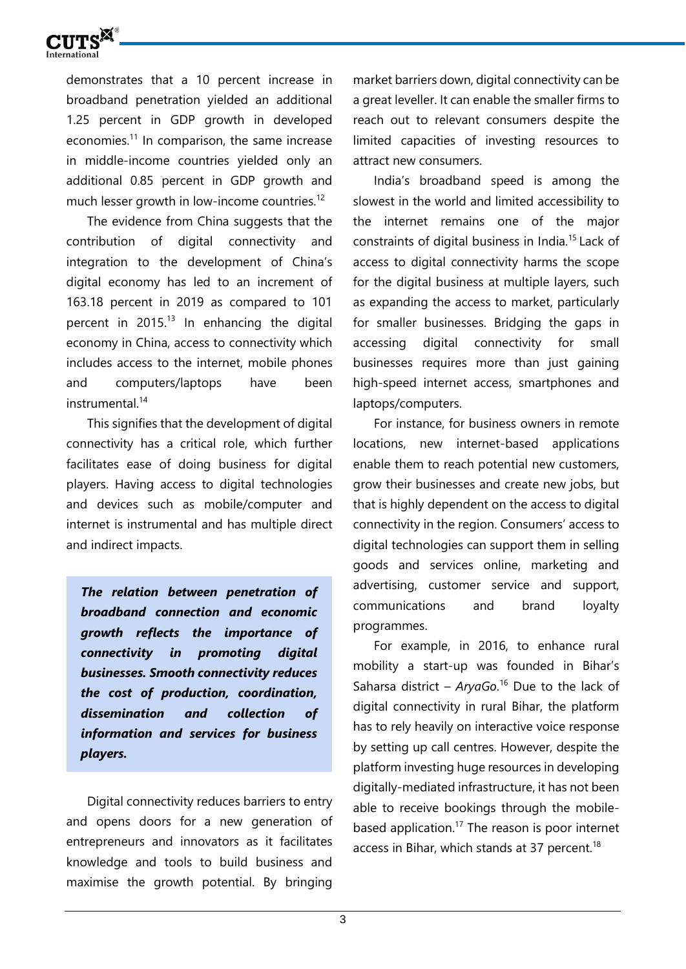

demonstrates that a 10 percent increase in broadband penetration yielded an additional 1.25 percent in GDP growth in developed economies.<sup>11</sup> In comparison, the same increase in middle-income countries yielded only an additional 0.85 percent in GDP growth and much lesser growth in low-income countries.<sup>12</sup>

The evidence from China suggests that the contribution of digital connectivity and integration to the development of China's digital economy has led to an increment of 163.18 percent in 2019 as compared to 101 percent in  $2015$ <sup>13</sup> In enhancing the digital economy in China, access to connectivity which includes access to the internet, mobile phones and computers/laptops have been instrumental.<sup>14</sup>

This signifies that the development of digital connectivity has a critical role, which further facilitates ease of doing business for digital players. Having access to digital technologies and devices such as mobile/computer and internet is instrumental and has multiple direct and indirect impacts.

*The relation between penetration of broadband connection and economic growth reflects the importance of connectivity in promoting digital businesses. Smooth connectivity reduces the cost of production, coordination, dissemination and collection of information and services for business players.* 

Digital connectivity reduces barriers to entry and opens doors for a new generation of entrepreneurs and innovators as it facilitates knowledge and tools to build business and maximise the growth potential. By bringing

market barriers down, digital connectivity can be a great leveller. It can enable the smaller firms to reach out to relevant consumers despite the limited capacities of investing resources to attract new consumers.

India's broadband speed is among the slowest in the world and limited accessibility to the internet remains one of the major constraints of digital business in India.<sup>15</sup> Lack of access to digital connectivity harms the scope for the digital business at multiple layers, such as expanding the access to market, particularly for smaller businesses. Bridging the gaps in accessing digital connectivity for small businesses requires more than just gaining high-speed internet access, smartphones and laptops/computers.

For instance, for business owners in remote locations, new internet-based applications enable them to reach potential new customers, grow their businesses and create new jobs, but that is highly dependent on the access to digital connectivity in the region. Consumers' access to digital technologies can support them in selling goods and services online, marketing and advertising, customer service and support, communications and brand loyalty programmes.

For example, in 2016, to enhance rural mobility a start-up was founded in Bihar's Saharsa district – *AryaGo*. <sup>16</sup> Due to the lack of digital connectivity in rural Bihar, the platform has to rely heavily on interactive voice response by setting up call centres. However, despite the platform investing huge resources in developing digitally-mediated infrastructure, it has not been able to receive bookings through the mobilebased application.<sup>17</sup> The reason is poor internet access in Bihar, which stands at 37 percent.<sup>18</sup>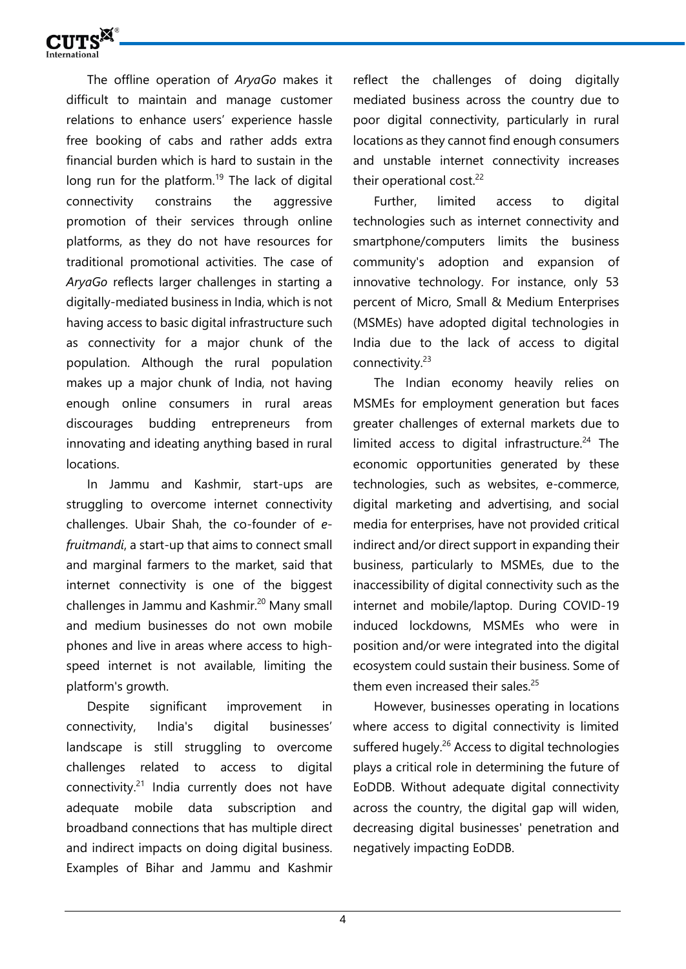

The offline operation of *AryaGo* makes it difficult to maintain and manage customer relations to enhance users' experience hassle free booking of cabs and rather adds extra financial burden which is hard to sustain in the long run for the platform.<sup>19</sup> The lack of digital connectivity constrains the aggressive promotion of their services through online platforms, as they do not have resources for traditional promotional activities. The case of *AryaGo* reflects larger challenges in starting a digitally-mediated business in India, which is not having access to basic digital infrastructure such as connectivity for a major chunk of the population. Although the rural population makes up a major chunk of India, not having enough online consumers in rural areas discourages budding entrepreneurs from innovating and ideating anything based in rural locations.

In Jammu and Kashmir, start-ups are struggling to overcome internet connectivity challenges. Ubair Shah, the co-founder of *efruitmandi*, a start-up that aims to connect small and marginal farmers to the market, said that internet connectivity is one of the biggest challenges in Jammu and Kashmir.<sup>20</sup> Many small and medium businesses do not own mobile phones and live in areas where access to highspeed internet is not available, limiting the platform's growth.

Despite significant improvement in connectivity, India's digital businesses' landscape is still struggling to overcome challenges related to access to digital connectivity. $21$  India currently does not have adequate mobile data subscription and broadband connections that has multiple direct and indirect impacts on doing digital business. Examples of Bihar and Jammu and Kashmir

reflect the challenges of doing digitally mediated business across the country due to poor digital connectivity, particularly in rural locations as they cannot find enough consumers and unstable internet connectivity increases their operational cost.<sup>22</sup>

Further, limited access to digital technologies such as internet connectivity and smartphone/computers limits the business community's adoption and expansion of innovative technology. For instance, only 53 percent of Micro, Small & Medium Enterprises (MSMEs) have adopted digital technologies in India due to the lack of access to digital connectivity.<sup>23</sup>

The Indian economy heavily relies on MSMEs for employment generation but faces greater challenges of external markets due to limited access to digital infrastructure. $24$  The economic opportunities generated by these technologies, such as websites, e-commerce, digital marketing and advertising, and social media for enterprises, have not provided critical indirect and/or direct support in expanding their business, particularly to MSMEs, due to the inaccessibility of digital connectivity such as the internet and mobile/laptop. During COVID-19 induced lockdowns, MSMEs who were in position and/or were integrated into the digital ecosystem could sustain their business. Some of them even increased their sales.<sup>25</sup>

However, businesses operating in locations where access to digital connectivity is limited suffered hugely.<sup>26</sup> Access to digital technologies plays a critical role in determining the future of EoDDB. Without adequate digital connectivity across the country, the digital gap will widen, decreasing digital businesses' penetration and negatively impacting EoDDB.

4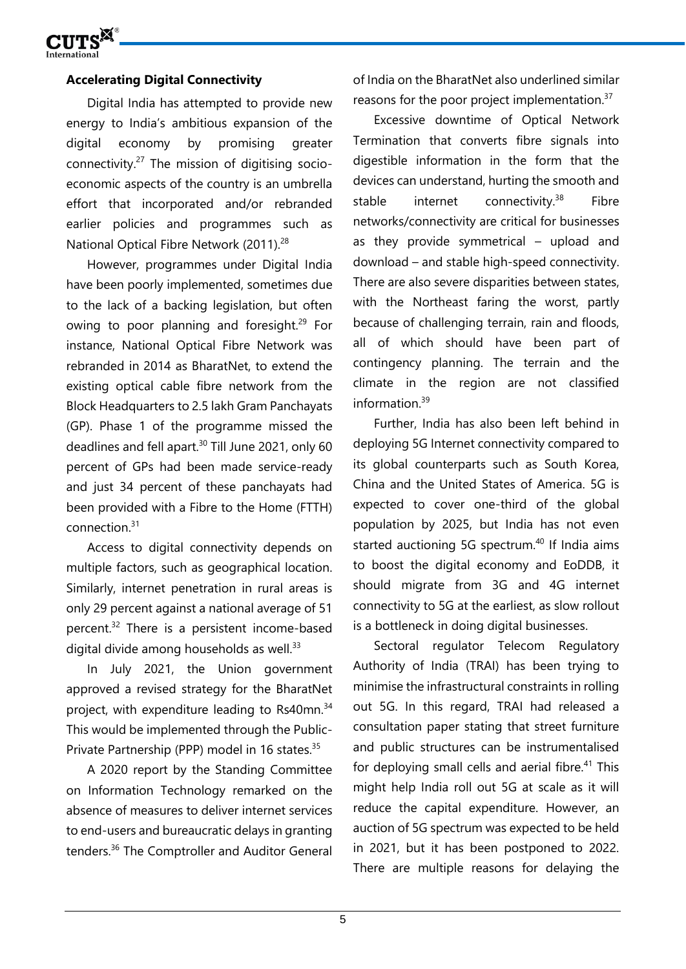

## **Accelerating Digital Connectivity**

Digital India has attempted to provide new energy to India's ambitious expansion of the digital economy by promising greater connectivity. $27$  The mission of digitising socioeconomic aspects of the country is an umbrella effort that incorporated and/or rebranded earlier policies and programmes such as National Optical Fibre Network (2011).<sup>28</sup>

However, programmes under Digital India have been poorly implemented, sometimes due to the lack of a backing legislation, but often owing to poor planning and foresight.<sup>29</sup> For instance, National Optical Fibre Network was rebranded in 2014 as BharatNet, to extend the existing optical cable fibre network from the Block Headquarters to 2.5 lakh Gram Panchayats (GP). Phase 1 of the programme missed the deadlines and fell apart.<sup>30</sup> Till June 2021, only 60 percent of GPs had been made service-ready and just 34 percent of these panchayats had been provided with a Fibre to the Home (FTTH) connection.<sup>31</sup>

Access to digital connectivity depends on multiple factors, such as geographical location. Similarly, internet penetration in rural areas is only 29 percent against a national average of 51 percent.<sup>32</sup> There is a persistent income-based digital divide among households as well. $33$ 

In July 2021, the Union government approved a revised strategy for the BharatNet project, with expenditure leading to Rs40mn.<sup>34</sup> This would be implemented through the Public-Private Partnership (PPP) model in 16 states.<sup>35</sup>

A 2020 report by the Standing Committee on Information Technology remarked on the absence of measures to deliver internet services to end-users and bureaucratic delays in granting tenders.<sup>36</sup> The Comptroller and Auditor General

of India on the BharatNet also underlined similar reasons for the poor project implementation.<sup>37</sup>

Excessive downtime of Optical Network Termination that converts fibre signals into digestible information in the form that the devices can understand, hurting the smooth and stable internet connectivity. $38$  Fibre networks/connectivity are critical for businesses as they provide symmetrical – upload and download – and stable high-speed connectivity. There are also severe disparities between states, with the Northeast faring the worst, partly because of challenging terrain, rain and floods, all of which should have been part of contingency planning. The terrain and the climate in the region are not classified information.<sup>39</sup>

Further, India has also been left behind in deploying 5G Internet connectivity compared to its global counterparts such as South Korea, China and the United States of America. 5G is expected to cover one-third of the global population by 2025, but India has not even started auctioning 5G spectrum.<sup>40</sup> If India aims to boost the digital economy and EoDDB, it should migrate from 3G and 4G internet connectivity to 5G at the earliest, as slow rollout is a bottleneck in doing digital businesses.

Sectoral regulator Telecom Regulatory Authority of India (TRAI) has been trying to minimise the infrastructural constraints in rolling out 5G. In this regard, TRAI had released a consultation paper stating that street furniture and public structures can be instrumentalised for deploying small cells and aerial fibre. $41$  This might help India roll out 5G at scale as it will reduce the capital expenditure. However, an auction of 5G spectrum was expected to be held in 2021, but it has been postponed to 2022. There are multiple reasons for delaying the

5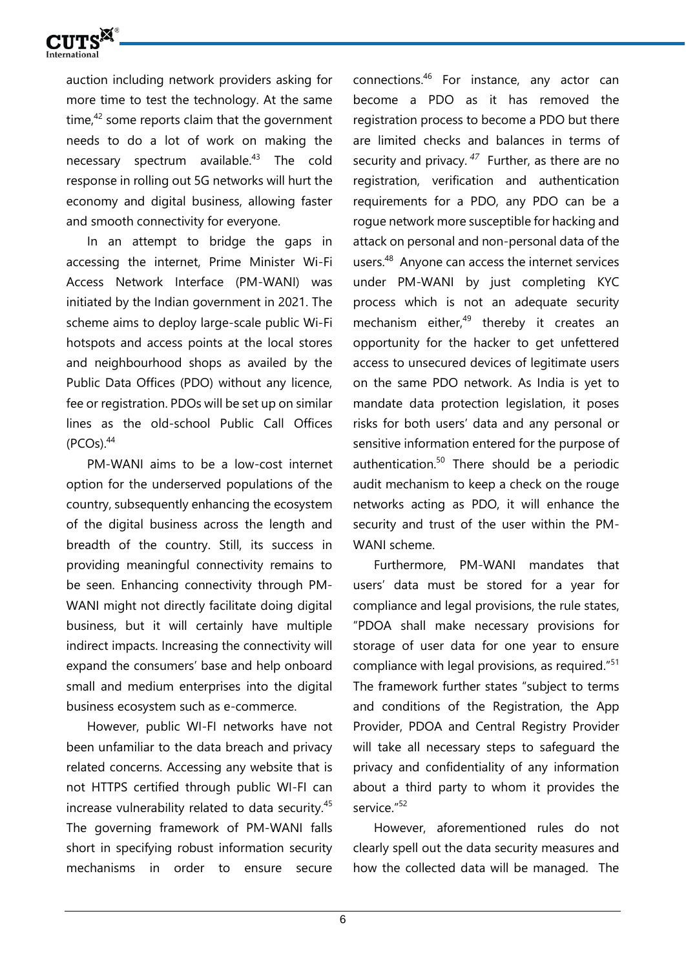

auction including network providers asking for more time to test the technology. At the same time.<sup>42</sup> some reports claim that the government needs to do a lot of work on making the necessary spectrum available.<sup>43</sup> The cold response in rolling out 5G networks will hurt the economy and digital business, allowing faster and smooth connectivity for everyone.

In an attempt to bridge the gaps in accessing the internet, Prime Minister Wi-Fi Access Network Interface (PM-WANI) was initiated by the Indian government in 2021. The scheme aims to deploy large-scale public Wi-Fi hotspots and access points at the local stores and neighbourhood shops as availed by the Public Data Offices (PDO) without any licence, fee or registration. PDOs will be set up on similar lines as the old-school Public Call Offices  $(PCOs).<sup>44</sup>$ 

PM-WANI aims to be a low-cost internet option for the underserved populations of the country, subsequently enhancing the ecosystem of the digital business across the length and breadth of the country. Still, its success in providing meaningful connectivity remains to be seen. Enhancing connectivity through PM-WANI might not directly facilitate doing digital business, but it will certainly have multiple indirect impacts. Increasing the connectivity will expand the consumers' base and help onboard small and medium enterprises into the digital business ecosystem such as e-commerce.

However, public WI-FI networks have not been unfamiliar to the data breach and privacy related concerns. Accessing any website that is not HTTPS certified through public WI-FI can increase vulnerability related to data security.<sup>45</sup> The governing framework of PM-WANI falls short in specifying robust information security mechanisms in order to ensure secure connections.<sup>46</sup> For instance, any actor can become a PDO as it has removed the registration process to become a PDO but there are limited checks and balances in terms of security and privacy. *<sup>47</sup>* Further, as there are no registration, verification and authentication requirements for a PDO, any PDO can be a rogue network more susceptible for hacking and attack on personal and non-personal data of the users.<sup>48</sup> Anyone can access the internet services under PM-WANI by just completing KYC process which is not an adequate security mechanism either, $49$  thereby it creates an opportunity for the hacker to get unfettered access to unsecured devices of legitimate users on the same PDO network. As India is yet to mandate data protection legislation, it poses risks for both users' data and any personal or sensitive information entered for the purpose of authentication.<sup>50</sup> There should be a periodic audit mechanism to keep a check on the rouge networks acting as PDO, it will enhance the security and trust of the user within the PM-WANI scheme.

Furthermore, PM-WANI mandates that users' data must be stored for a year for compliance and legal provisions, the rule states, "PDOA shall make necessary provisions for storage of user data for one year to ensure compliance with legal provisions, as required."<sup>51</sup> The framework further states "subject to terms and conditions of the Registration, the App Provider, PDOA and Central Registry Provider will take all necessary steps to safeguard the privacy and confidentiality of any information about a third party to whom it provides the service."<sup>52</sup>

However, aforementioned rules do not clearly spell out the data security measures and how the collected data will be managed. The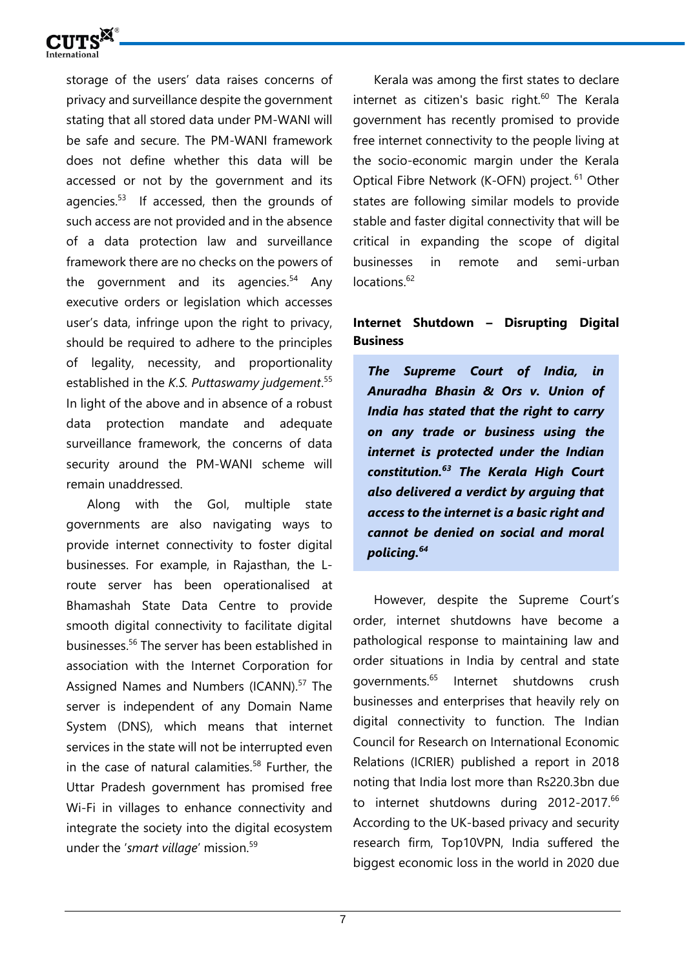

storage of the users' data raises concerns of privacy and surveillance despite the government stating that all stored data under PM-WANI will be safe and secure. The PM-WANI framework does not define whether this data will be accessed or not by the government and its agencies. $53$  If accessed, then the grounds of such access are not provided and in the absence of a data protection law and surveillance framework there are no checks on the powers of the government and its agencies.<sup>54</sup> Any executive orders or legislation which accesses user's data, infringe upon the right to privacy, should be required to adhere to the principles of legality, necessity, and proportionality established in the *K.S. Puttaswamy judgement*. 55 In light of the above and in absence of a robust data protection mandate and adequate surveillance framework, the concerns of data security around the PM-WANI scheme will remain unaddressed.

Along with the GoI, multiple state governments are also navigating ways to provide internet connectivity to foster digital businesses. For example, in Rajasthan, the Lroute server has been operationalised at Bhamashah State Data Centre to provide smooth digital connectivity to facilitate digital businesses. <sup>56</sup> The server has been established in association with the Internet Corporation for Assigned Names and Numbers (ICANN).<sup>57</sup> The server is independent of any Domain Name System (DNS), which means that internet services in the state will not be interrupted even in the case of natural calamities. $58$  Further, the Uttar Pradesh government has promised free Wi-Fi in villages to enhance connectivity and integrate the society into the digital ecosystem under the '*smart village*' mission.<sup>59</sup>

Kerala was among the first states to declare internet as citizen's basic right. $60$  The Kerala government has recently promised to provide free internet connectivity to the people living at the socio-economic margin under the Kerala Optical Fibre Network (K-OFN) project. <sup>61</sup> Other states are following similar models to provide stable and faster digital connectivity that will be critical in expanding the scope of digital businesses in remote and semi-urban locations.<sup>62</sup>

# **Internet Shutdown – Disrupting Digital Business**

*The Supreme Court of India, in Anuradha Bhasin & Ors v. Union of India has stated that the right to carry on any trade or business using the internet is protected under the Indian constitution.<sup>63</sup> The Kerala High Court also delivered a verdict by arguing that access to the internet is a basic right and cannot be denied on social and moral policing.<sup>64</sup>*

However, despite the Supreme Court's order, internet shutdowns have become a pathological response to maintaining law and order situations in India by central and state governments.<sup>65</sup> Internet shutdowns crush businesses and enterprises that heavily rely on digital connectivity to function. The Indian Council for Research on International Economic Relations (ICRIER) published a report in 2018 noting that India lost more than Rs220.3bn due to internet shutdowns during 2012-2017.<sup>66</sup> According to the UK-based privacy and security research firm, Top10VPN, India suffered the biggest economic loss in the world in 2020 due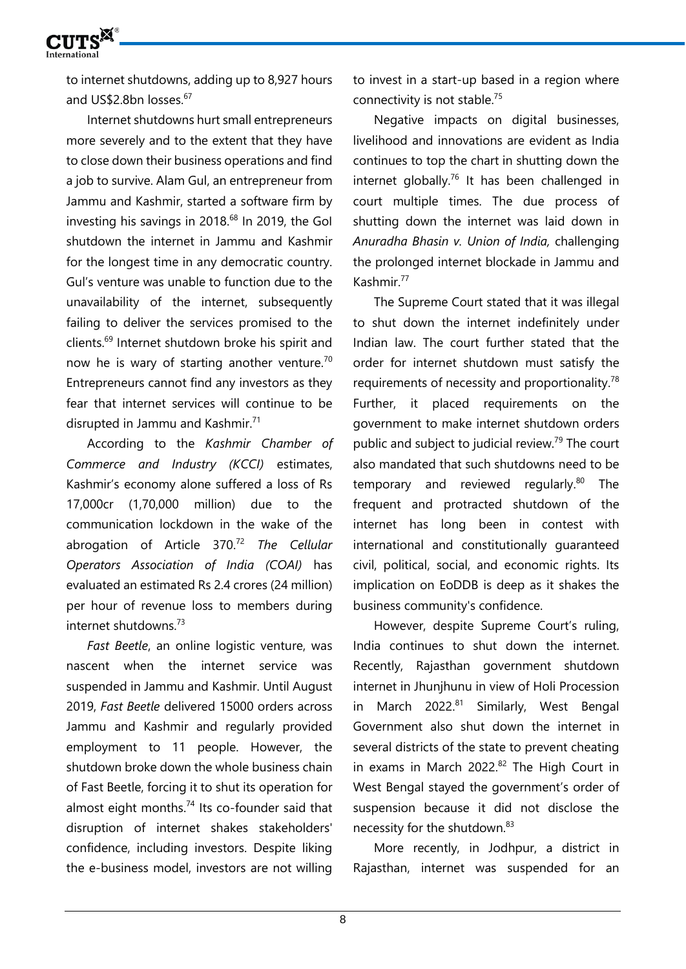

to internet shutdowns, adding up to 8,927 hours and US\$2.8bn losses.<sup>67</sup>

Internet shutdowns hurt small entrepreneurs more severely and to the extent that they have to close down their business operations and find a job to survive. Alam Gul, an entrepreneur from Jammu and Kashmir, started a software firm by investing his savings in  $2018<sup>68</sup>$  In 2019, the Gol shutdown the internet in Jammu and Kashmir for the longest time in any democratic country. Gul's venture was unable to function due to the unavailability of the internet, subsequently failing to deliver the services promised to the clients.<sup>69</sup> Internet shutdown broke his spirit and now he is wary of starting another venture.<sup>70</sup> Entrepreneurs cannot find any investors as they fear that internet services will continue to be disrupted in Jammu and Kashmir.<sup>71</sup>

According to the *Kashmir Chamber of Commerce and Industry (KCCI)* estimates, Kashmir's economy alone suffered a loss of Rs 17,000cr (1,70,000 million) due to the communication lockdown in the wake of the abrogation of Article 370.<sup>72</sup> *The Cellular Operators Association of India (COAI)* has evaluated an estimated Rs 2.4 crores (24 million) per hour of revenue loss to members during internet shutdowns<sup>73</sup>

*Fast Beetle*, an online logistic venture, was nascent when the internet service was suspended in Jammu and Kashmir. Until August 2019, *Fast Beetle* delivered 15000 orders across Jammu and Kashmir and regularly provided employment to 11 people. However, the shutdown broke down the whole business chain of Fast Beetle, forcing it to shut its operation for almost eight months. $^{74}$  Its co-founder said that disruption of internet shakes stakeholders' confidence, including investors. Despite liking the e-business model, investors are not willing to invest in a start-up based in a region where connectivity is not stable.<sup>75</sup>

Negative impacts on digital businesses, livelihood and innovations are evident as India continues to top the chart in shutting down the internet globally.<sup>76</sup> It has been challenged in court multiple times. The due process of shutting down the internet was laid down in *Anuradha Bhasin v. Union of India,* challenging the prolonged internet blockade in Jammu and Kashmir.<sup>77</sup>

The Supreme Court stated that it was illegal to shut down the internet indefinitely under Indian law. The court further stated that the order for internet shutdown must satisfy the requirements of necessity and proportionality.<sup>78</sup> Further, it placed requirements on the government to make internet shutdown orders public and subject to judicial review.<sup>79</sup> The court also mandated that such shutdowns need to be temporary and reviewed regularly. $80$  The frequent and protracted shutdown of the internet has long been in contest with international and constitutionally guaranteed civil, political, social, and economic rights. Its implication on EoDDB is deep as it shakes the business community's confidence.

However, despite Supreme Court's ruling, India continues to shut down the internet. Recently, Rajasthan government shutdown internet in Jhunjhunu in view of Holi Procession in March  $2022.^{81}$  Similarly, West Bengal Government also shut down the internet in several districts of the state to prevent cheating in exams in March  $2022$ .<sup>82</sup> The High Court in West Bengal stayed the government's order of suspension because it did not disclose the necessity for the shutdown.<sup>83</sup>

More recently, in Jodhpur, a district in Rajasthan, internet was suspended for an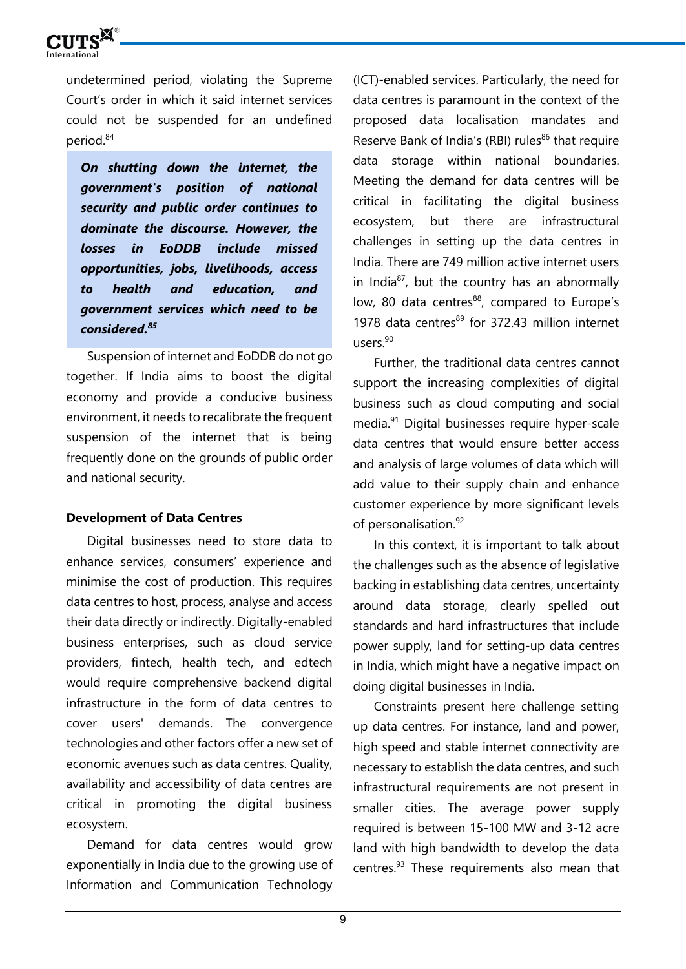

undetermined period, violating the Supreme Court's order in which it said internet services could not be suspended for an undefined period.<sup>84</sup>

*On shutting down the internet, the government's position of national security and public order continues to dominate the discourse. However, the losses in EoDDB include missed opportunities, jobs, livelihoods, access to health and education, and government services which need to be considered.<sup>85</sup>*

Suspension of internet and EoDDB do not go together. If India aims to boost the digital economy and provide a conducive business environment, it needs to recalibrate the frequent suspension of the internet that is being frequently done on the grounds of public order and national security.

#### **Development of Data Centres**

Digital businesses need to store data to enhance services, consumers' experience and minimise the cost of production. This requires data centres to host, process, analyse and access their data directly or indirectly. Digitally-enabled business enterprises, such as cloud service providers, fintech, health tech, and edtech would require comprehensive backend digital infrastructure in the form of data centres to cover users' demands. The convergence technologies and other factors offer a new set of economic avenues such as data centres. Quality, availability and accessibility of data centres are critical in promoting the digital business ecosystem.

Demand for data centres would grow exponentially in India due to the growing use of Information and Communication Technology

(ICT)-enabled services. Particularly, the need for data centres is paramount in the context of the proposed data localisation mandates and Reserve Bank of India's (RBI) rules<sup>86</sup> that require data storage within national boundaries. Meeting the demand for data centres will be critical in facilitating the digital business ecosystem, but there are infrastructural challenges in setting up the data centres in India. There are 749 million active internet users in India $^{87}$ , but the country has an abnormally low, 80 data centres<sup>88</sup>, compared to Europe's 1978 data centres $^{89}$  for 372.43 million internet users.<sup>90</sup>

Further, the traditional data centres cannot support the increasing complexities of digital business such as cloud computing and social media.<sup>91</sup> Digital businesses require hyper-scale data centres that would ensure better access and analysis of large volumes of data which will add value to their supply chain and enhance customer experience by more significant levels of personalisation.<sup>92</sup>

In this context, it is important to talk about the challenges such as the absence of legislative backing in establishing data centres, uncertainty around data storage, clearly spelled out standards and hard infrastructures that include power supply, land for setting-up data centres in India, which might have a negative impact on doing digital businesses in India.

Constraints present here challenge setting up data centres. For instance, land and power, high speed and stable internet connectivity are necessary to establish the data centres, and such infrastructural requirements are not present in smaller cities. The average power supply required is between 15-100 MW and 3-12 acre land with high bandwidth to develop the data centres.<sup>93</sup> These requirements also mean that

9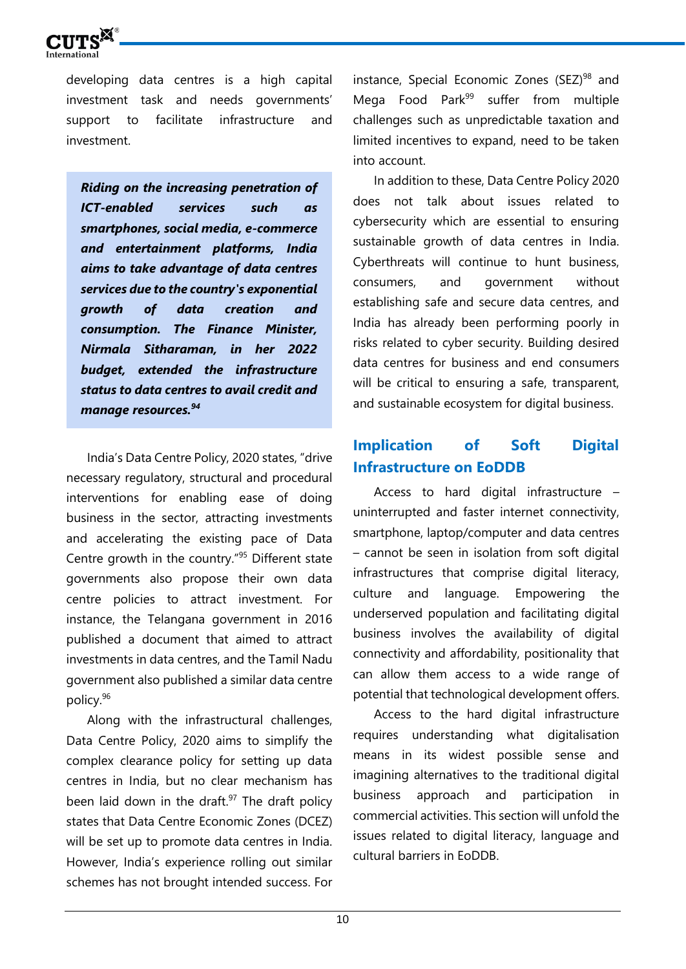

developing data centres is a high capital investment task and needs governments' support to facilitate infrastructure and investment.

*Riding on the increasing penetration of ICT-enabled services such as smartphones, social media, e-commerce and entertainment platforms, India aims to take advantage of data centres services due to the country's exponential growth of data creation and consumption. The Finance Minister, Nirmala Sitharaman, in her 2022 budget, extended the infrastructure status to data centres to avail credit and manage resources.<sup>94</sup>*

India's Data Centre Policy, 2020 states, "drive necessary regulatory, structural and procedural interventions for enabling ease of doing business in the sector, attracting investments and accelerating the existing pace of Data Centre growth in the country."<sup>95</sup> Different state governments also propose their own data centre policies to attract investment. For instance, the Telangana government in 2016 published a document that aimed to attract investments in data centres, and the Tamil Nadu government also published a similar data centre policy.<sup>96</sup>

Along with the infrastructural challenges, Data Centre Policy, 2020 aims to simplify the complex clearance policy for setting up data centres in India, but no clear mechanism has been laid down in the draft. $97$  The draft policy states that Data Centre Economic Zones (DCEZ) will be set up to promote data centres in India. However, India's experience rolling out similar schemes has not brought intended success. For instance, Special Economic Zones  $(SEZ)^{98}$  and Mega Food Park<sup>99</sup> suffer from multiple challenges such as unpredictable taxation and limited incentives to expand, need to be taken into account.

In addition to these, Data Centre Policy 2020 does not talk about issues related to cybersecurity which are essential to ensuring sustainable growth of data centres in India. Cyberthreats will continue to hunt business, consumers, and government without establishing safe and secure data centres, and India has already been performing poorly in risks related to cyber security. Building desired data centres for business and end consumers will be critical to ensuring a safe, transparent, and sustainable ecosystem for digital business.

# **Implication of Soft Digital Infrastructure on EoDDB**

Access to hard digital infrastructure – uninterrupted and faster internet connectivity, smartphone, laptop/computer and data centres – cannot be seen in isolation from soft digital infrastructures that comprise digital literacy, culture and language. Empowering the underserved population and facilitating digital business involves the availability of digital connectivity and affordability, positionality that can allow them access to a wide range of potential that technological development offers.

Access to the hard digital infrastructure requires understanding what digitalisation means in its widest possible sense and imagining alternatives to the traditional digital business approach and participation in commercial activities. This section will unfold the issues related to digital literacy, language and cultural barriers in EoDDB.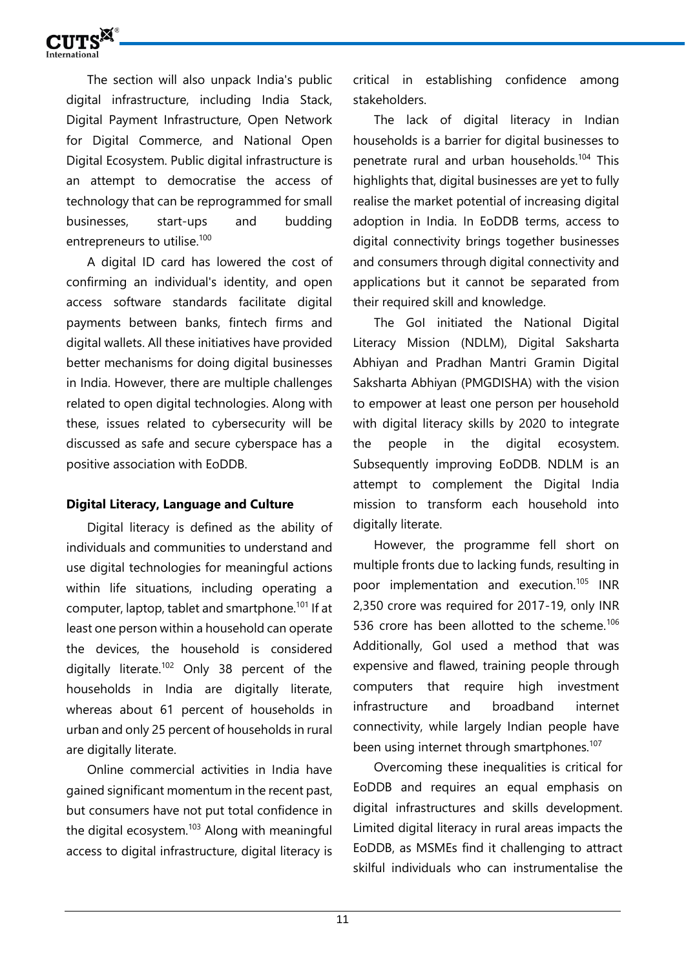

The section will also unpack India's public digital infrastructure, including India Stack, Digital Payment Infrastructure, Open Network for Digital Commerce, and National Open Digital Ecosystem. Public digital infrastructure is an attempt to democratise the access of technology that can be reprogrammed for small businesses, start-ups and budding entrepreneurs to utilise.<sup>100</sup>

A digital ID card has lowered the cost of confirming an individual's identity, and open access software standards facilitate digital payments between banks, fintech firms and digital wallets. All these initiatives have provided better mechanisms for doing digital businesses in India. However, there are multiple challenges related to open digital technologies. Along with these, issues related to cybersecurity will be discussed as safe and secure cyberspace has a positive association with EoDDB.

#### **Digital Literacy, Language and Culture**

Digital literacy is defined as the ability of individuals and communities to understand and use digital technologies for meaningful actions within life situations, including operating a computer, laptop, tablet and smartphone.<sup>101</sup> If at least one person within a household can operate the devices, the household is considered digitally literate.<sup>102</sup> Only 38 percent of the households in India are digitally literate, whereas about 61 percent of households in urban and only 25 percent of households in rural are digitally literate.

Online commercial activities in India have gained significant momentum in the recent past, but consumers have not put total confidence in the digital ecosystem. $103$  Along with meaningful access to digital infrastructure, digital literacy is

critical in establishing confidence among stakeholders.

The lack of digital literacy in Indian households is a barrier for digital businesses to penetrate rural and urban households.<sup>104</sup> This highlights that, digital businesses are yet to fully realise the market potential of increasing digital adoption in India. In EoDDB terms, access to digital connectivity brings together businesses and consumers through digital connectivity and applications but it cannot be separated from their required skill and knowledge.

The GoI initiated the National Digital Literacy Mission (NDLM), Digital Saksharta Abhiyan and Pradhan Mantri Gramin Digital Saksharta Abhiyan (PMGDISHA) with the vision to empower at least one person per household with digital literacy skills by 2020 to integrate the people in the digital ecosystem. Subsequently improving EoDDB. NDLM is an attempt to complement the Digital India mission to transform each household into digitally literate.

However, the programme fell short on multiple fronts due to lacking funds, resulting in poor implementation and execution.<sup>105</sup> INR 2,350 crore was required for 2017-19, only INR 536 crore has been allotted to the scheme.<sup>106</sup> Additionally, GoI used a method that was expensive and flawed, training people through computers that require high investment infrastructure and broadband internet connectivity, while largely Indian people have been using internet through smartphones.<sup>107</sup>

Overcoming these inequalities is critical for EoDDB and requires an equal emphasis on digital infrastructures and skills development. Limited digital literacy in rural areas impacts the EoDDB, as MSMEs find it challenging to attract skilful individuals who can instrumentalise the

11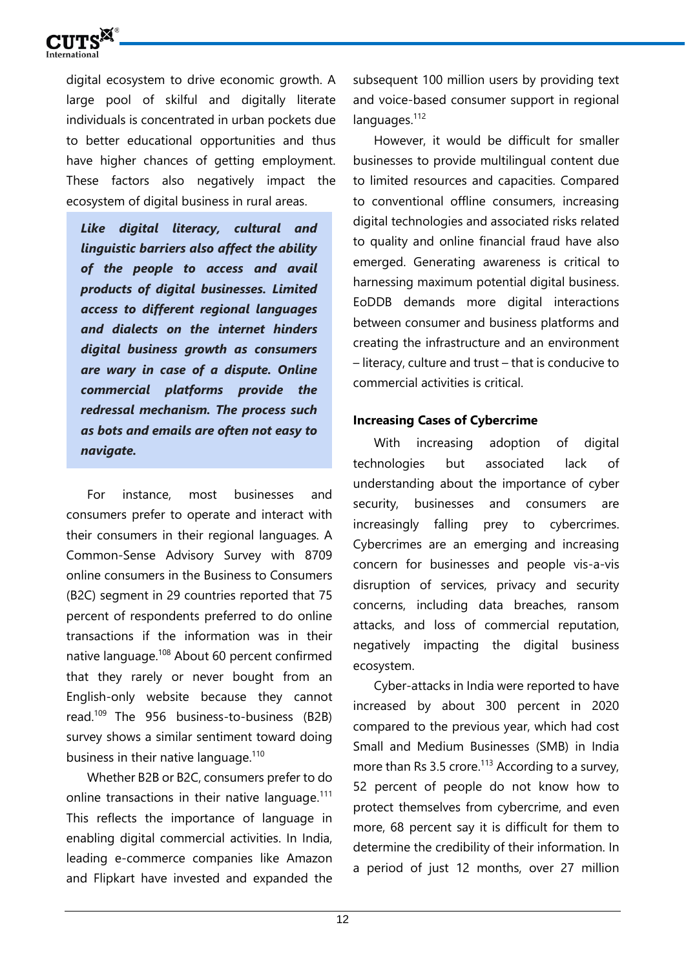

digital ecosystem to drive economic growth. A large pool of skilful and digitally literate individuals is concentrated in urban pockets due to better educational opportunities and thus have higher chances of getting employment. These factors also negatively impact the ecosystem of digital business in rural areas.

*Like digital literacy, cultural and linguistic barriers also affect the ability of the people to access and avail products of digital businesses. Limited access to different regional languages and dialects on the internet hinders digital business growth as consumers are wary in case of a dispute. Online commercial platforms provide the redressal mechanism. The process such as bots and emails are often not easy to navigate.*

For instance, most businesses and consumers prefer to operate and interact with their consumers in their regional languages. A Common-Sense Advisory Survey with 8709 online consumers in the Business to Consumers (B2C) segment in 29 countries reported that 75 percent of respondents preferred to do online transactions if the information was in their native language.<sup>108</sup> About 60 percent confirmed that they rarely or never bought from an English-only website because they cannot read.<sup>109</sup> The 956 business-to-business (B2B) survey shows a similar sentiment toward doing business in their native language. $110$ 

Whether B2B or B2C, consumers prefer to do online transactions in their native language. $111$ This reflects the importance of language in enabling digital commercial activities. In India, leading e-commerce companies like Amazon and Flipkart have invested and expanded the subsequent 100 million users by providing text and voice-based consumer support in regional  $lanaua$ ges. $112$ 

However, it would be difficult for smaller businesses to provide multilingual content due to limited resources and capacities. Compared to conventional offline consumers, increasing digital technologies and associated risks related to quality and online financial fraud have also emerged. Generating awareness is critical to harnessing maximum potential digital business. EoDDB demands more digital interactions between consumer and business platforms and creating the infrastructure and an environment – literacy, culture and trust – that is conducive to commercial activities is critical.

#### **Increasing Cases of Cybercrime**

With increasing adoption of digital technologies but associated lack of understanding about the importance of cyber security, businesses and consumers are increasingly falling prey to cybercrimes. Cybercrimes are an emerging and increasing concern for businesses and people vis-a-vis disruption of services, privacy and security concerns, including data breaches, ransom attacks, and loss of commercial reputation, negatively impacting the digital business ecosystem.

Cyber-attacks in India were reported to have increased by about 300 percent in 2020 compared to the previous year, which had cost Small and Medium Businesses (SMB) in India more than Rs 3.5 crore.<sup>113</sup> According to a survey, 52 percent of people do not know how to protect themselves from cybercrime, and even more, 68 percent say it is difficult for them to determine the credibility of their information. In a period of just 12 months, over 27 million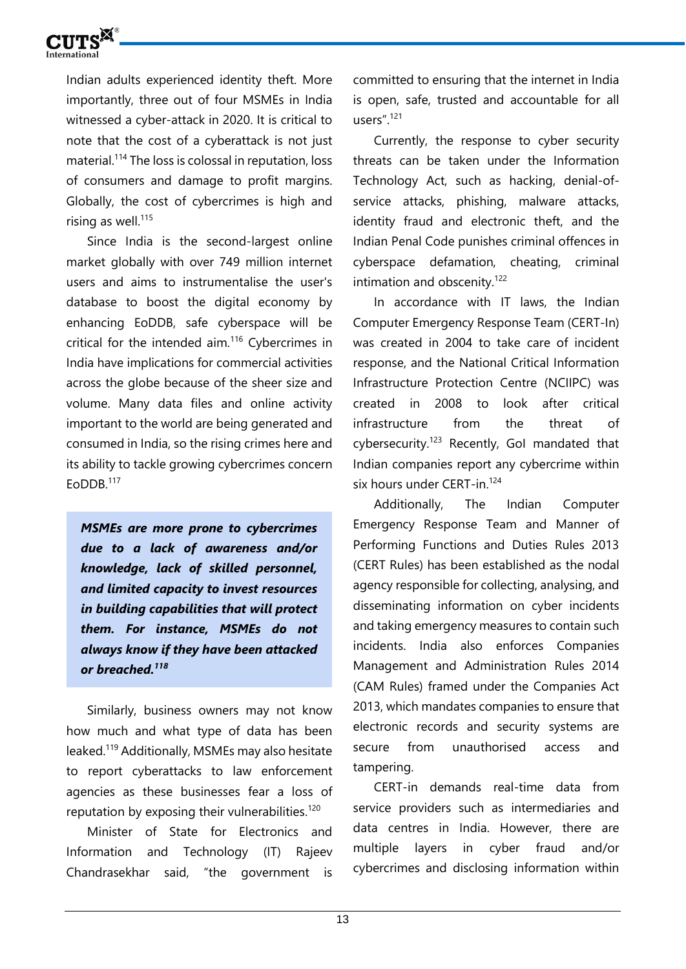

Indian adults experienced identity theft. More importantly, three out of four MSMEs in India witnessed a cyber-attack in 2020. It is critical to note that the cost of a cyberattack is not just material.<sup>114</sup> The loss is colossal in reputation, loss of consumers and damage to profit margins. Globally, the cost of cybercrimes is high and rising as well. $115$ 

Since India is the second-largest online market globally with over 749 million internet users and aims to instrumentalise the user's database to boost the digital economy by enhancing EoDDB, safe cyberspace will be critical for the intended aim.<sup>116</sup> Cybercrimes in India have implications for commercial activities across the globe because of the sheer size and volume. Many data files and online activity important to the world are being generated and consumed in India, so the rising crimes here and its ability to tackle growing cybercrimes concern EoDDB.<sup>117</sup>

*MSMEs are more prone to cybercrimes due to a lack of awareness and/or knowledge, lack of skilled personnel, and limited capacity to invest resources in building capabilities that will protect them. For instance, MSMEs do not always know if they have been attacked or breached.<sup>118</sup>*

Similarly, business owners may not know how much and what type of data has been leaked.<sup>119</sup> Additionally, MSMEs may also hesitate to report cyberattacks to law enforcement agencies as these businesses fear a loss of reputation by exposing their vulnerabilities.<sup>120</sup>

Minister of State for Electronics and Information and Technology (IT) Rajeev Chandrasekhar said, "the government is committed to ensuring that the internet in India is open, safe, trusted and accountable for all users".<sup>121</sup>

Currently, the response to cyber security threats can be taken under the Information Technology Act, such as hacking, denial-ofservice attacks, phishing, malware attacks, identity fraud and electronic theft, and the Indian Penal Code punishes criminal offences in cyberspace defamation, cheating, criminal intimation and obscenity.<sup>122</sup>

In accordance with IT laws, the Indian Computer Emergency Response Team (CERT-In) was created in 2004 to take care of incident response, and the National Critical Information Infrastructure Protection Centre (NCIIPC) was created in 2008 to look after critical infrastructure from the threat of cybersecurity.<sup>123</sup> Recently, GoI mandated that Indian companies report any cybercrime within six hours under CERT-in.<sup>124</sup>

Additionally, The Indian Computer Emergency Response Team and Manner of Performing Functions and Duties Rules 2013 (CERT Rules) has been established as the nodal agency responsible for collecting, analysing, and disseminating information on cyber incidents and taking emergency measures to contain such incidents. India also enforces Companies Management and Administration Rules 2014 (CAM Rules) framed under the Companies Act 2013, which mandates companies to ensure that electronic records and security systems are secure from unauthorised access and tampering.

CERT-in demands real-time data from service providers such as intermediaries and data centres in India. However, there are multiple layers in cyber fraud and/or cybercrimes and disclosing information within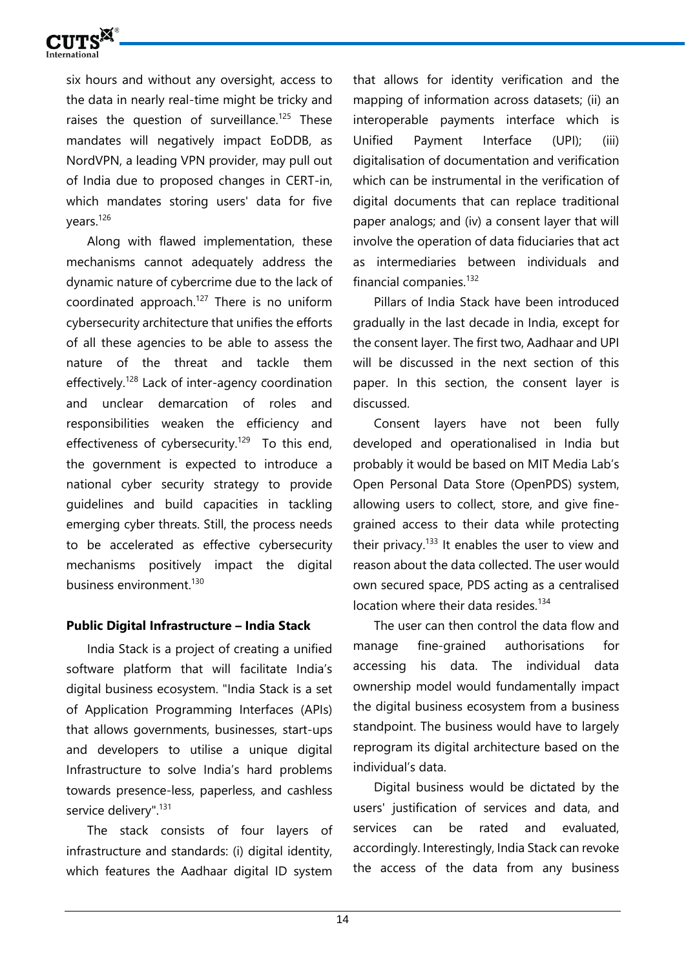

six hours and without any oversight, access to the data in nearly real-time might be tricky and raises the question of surveillance.<sup>125</sup> These mandates will negatively impact EoDDB, as NordVPN, a leading VPN provider, may pull out of India due to proposed changes in CERT-in, which mandates storing users' data for five years.<sup>126</sup>

Along with flawed implementation, these mechanisms cannot adequately address the dynamic nature of cybercrime due to the lack of coordinated approach.<sup>127</sup> There is no uniform cybersecurity architecture that unifies the efforts of all these agencies to be able to assess the nature of the threat and tackle them effectively.<sup>128</sup> Lack of inter-agency coordination and unclear demarcation of roles and responsibilities weaken the efficiency and effectiveness of cybersecurity.<sup>129</sup> To this end, the government is expected to introduce a national cyber security strategy to provide guidelines and build capacities in tackling emerging cyber threats. Still, the process needs to be accelerated as effective cybersecurity mechanisms positively impact the digital business environment.<sup>130</sup>

#### **Public Digital Infrastructure – India Stack**

India Stack is a project of creating a unified software platform that will facilitate India's digital business ecosystem. "India Stack is a set of Application Programming Interfaces (APIs) that allows governments, businesses, start-ups and developers to utilise a unique digital Infrastructure to solve India's hard problems towards presence-less, paperless, and cashless service delivery".<sup>131</sup>

The stack consists of four layers of infrastructure and standards: (i) digital identity, which features the Aadhaar digital ID system that allows for identity verification and the mapping of information across datasets; (ii) an interoperable payments interface which is Unified Payment Interface (UPI); (iii) digitalisation of documentation and verification which can be instrumental in the verification of digital documents that can replace traditional paper analogs; and (iv) a consent layer that will involve the operation of data fiduciaries that act as intermediaries between individuals and financial companies.<sup>132</sup>

Pillars of India Stack have been introduced gradually in the last decade in India, except for the consent layer. The first two, Aadhaar and UPI will be discussed in the next section of this paper. In this section, the consent layer is discussed.

Consent layers have not been fully developed and operationalised in India but probably it would be based on MIT Media Lab's Open Personal Data Store (OpenPDS) system, allowing users to collect, store, and give finegrained access to their data while protecting their privacy. $133$  It enables the user to view and reason about the data collected. The user would own secured space, PDS acting as a centralised location where their data resides.<sup>134</sup>

The user can then control the data flow and manage fine-grained authorisations for accessing his data. The individual data ownership model would fundamentally impact the digital business ecosystem from a business standpoint. The business would have to largely reprogram its digital architecture based on the individual's data.

Digital business would be dictated by the users' justification of services and data, and services can be rated and evaluated, accordingly. Interestingly, India Stack can revoke the access of the data from any business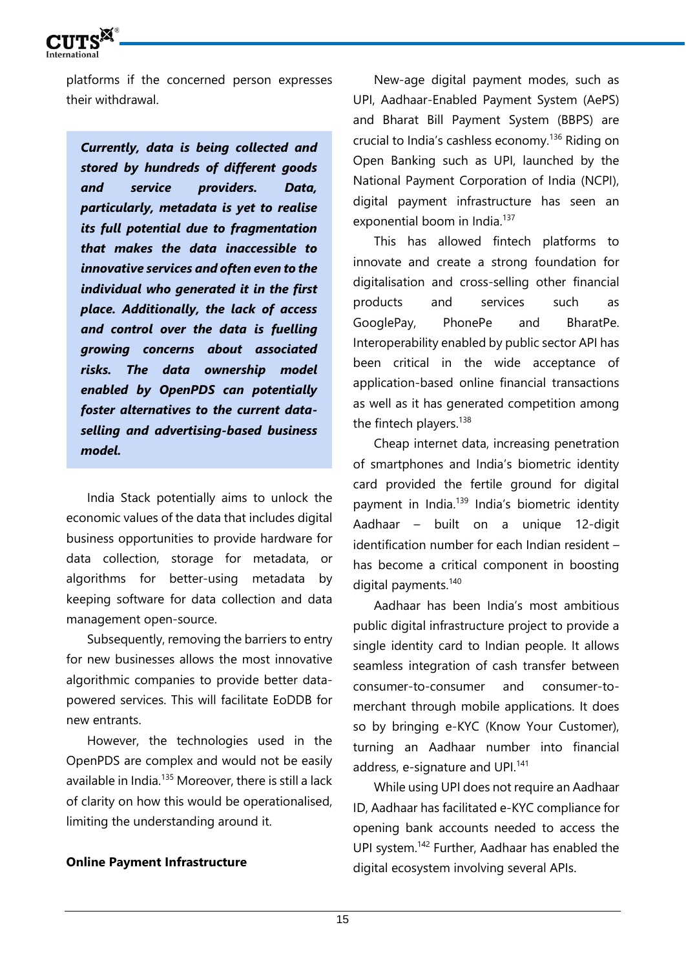

platforms if the concerned person expresses their withdrawal.

*Currently, data is being collected and stored by hundreds of different goods and service providers. Data, particularly, metadata is yet to realise its full potential due to fragmentation that makes the data inaccessible to innovative services and often even to the individual who generated it in the first place. Additionally, the lack of access and control over the data is fuelling growing concerns about associated risks. The data ownership model enabled by OpenPDS can potentially foster alternatives to the current dataselling and advertising-based business model.* 

India Stack potentially aims to unlock the economic values of the data that includes digital business opportunities to provide hardware for data collection, storage for metadata, or algorithms for better-using metadata by keeping software for data collection and data management open-source.

Subsequently, removing the barriers to entry for new businesses allows the most innovative algorithmic companies to provide better datapowered services. This will facilitate EoDDB for new entrants.

However, the technologies used in the OpenPDS are complex and would not be easily available in India.<sup>135</sup> Moreover, there is still a lack of clarity on how this would be operationalised, limiting the understanding around it.

#### **Online Payment Infrastructure**

New-age digital payment modes, such as UPI, Aadhaar-Enabled Payment System (AePS) and Bharat Bill Payment System (BBPS) are crucial to India's cashless economy.<sup>136</sup> Riding on Open Banking such as UPI, launched by the National Payment Corporation of India (NCPI), digital payment infrastructure has seen an exponential boom in India.<sup>137</sup>

This has allowed fintech platforms to innovate and create a strong foundation for digitalisation and cross-selling other financial products and services such as GooglePay, PhonePe and BharatPe. Interoperability enabled by public sector API has been critical in the wide acceptance of application-based online financial transactions as well as it has generated competition among the fintech players. $138$ 

Cheap internet data, increasing penetration of smartphones and India's biometric identity card provided the fertile ground for digital payment in India.<sup>139</sup> India's biometric identity Aadhaar – built on a unique 12-digit identification number for each Indian resident – has become a critical component in boosting digital payments.<sup>140</sup>

Aadhaar has been India's most ambitious public digital infrastructure project to provide a single identity card to Indian people. It allows seamless integration of cash transfer between consumer-to-consumer and consumer-tomerchant through mobile applications. It does so by bringing e-KYC (Know Your Customer), turning an Aadhaar number into financial address, e-signature and UPI.<sup>141</sup>

While using UPI does not require an Aadhaar ID, Aadhaar has facilitated e-KYC compliance for opening bank accounts needed to access the UPI system.<sup>142</sup> Further, Aadhaar has enabled the digital ecosystem involving several APIs.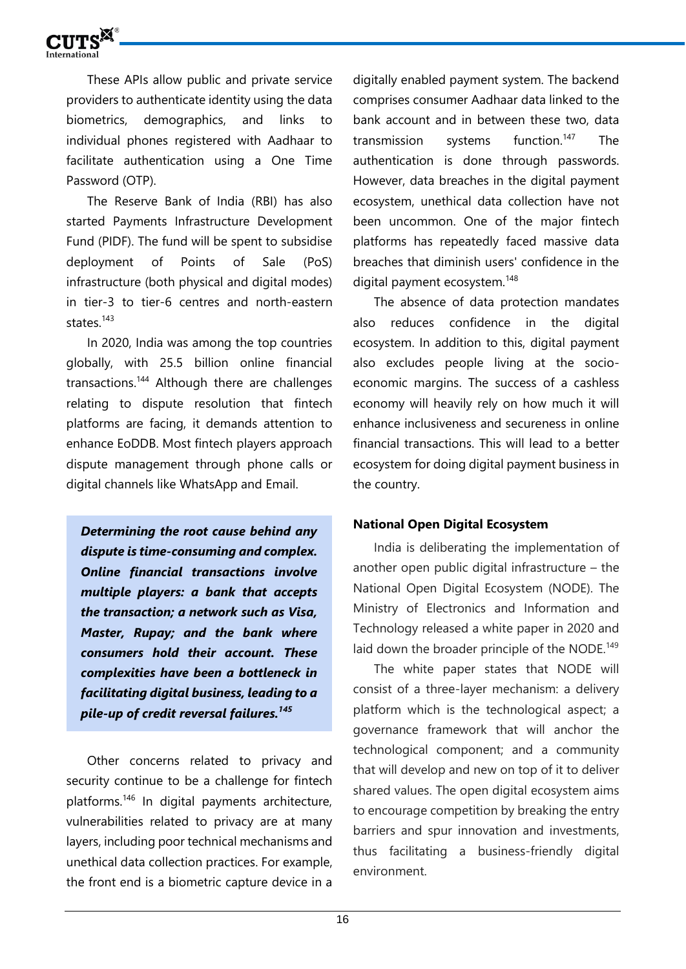

These APIs allow public and private service providers to authenticate identity using the data biometrics, demographics, and links to individual phones registered with Aadhaar to facilitate authentication using a One Time Password (OTP).

The Reserve Bank of India (RBI) has also started Payments Infrastructure Development Fund (PIDF). The fund will be spent to subsidise deployment of Points of Sale (PoS) infrastructure (both physical and digital modes) in tier-3 to tier-6 centres and north-eastern states.<sup>143</sup>

In 2020, India was among the top countries globally, with 25.5 billion online financial transactions.<sup>144</sup> Although there are challenges relating to dispute resolution that fintech platforms are facing, it demands attention to enhance EoDDB. Most fintech players approach dispute management through phone calls or digital channels like WhatsApp and Email.

*Determining the root cause behind any dispute is time-consuming and complex. Online financial transactions involve multiple players: a bank that accepts the transaction; a network such as Visa, Master, Rupay; and the bank where consumers hold their account. These complexities have been a bottleneck in facilitating digital business, leading to a pile-up of credit reversal failures.<sup>145</sup>* 

Other concerns related to privacy and security continue to be a challenge for fintech platforms.<sup>146</sup> In digital payments architecture, vulnerabilities related to privacy are at many layers, including poor technical mechanisms and unethical data collection practices. For example, the front end is a biometric capture device in a

digitally enabled payment system. The backend comprises consumer Aadhaar data linked to the bank account and in between these two, data transmission systems function.<sup>147</sup> The authentication is done through passwords. However, data breaches in the digital payment ecosystem, unethical data collection have not been uncommon. One of the major fintech platforms has repeatedly faced massive data breaches that diminish users' confidence in the digital payment ecosystem.<sup>148</sup>

The absence of data protection mandates also reduces confidence in the digital ecosystem. In addition to this, digital payment also excludes people living at the socioeconomic margins. The success of a cashless economy will heavily rely on how much it will enhance inclusiveness and secureness in online financial transactions. This will lead to a better ecosystem for doing digital payment business in the country.

#### **National Open Digital Ecosystem**

India is deliberating the implementation of another open public digital infrastructure – the National Open Digital Ecosystem (NODE). The Ministry of Electronics and Information and Technology released a white paper in 2020 and laid down the broader principle of the NODE.<sup>149</sup>

The white paper states that NODE will consist of a three-layer mechanism: a delivery platform which is the technological aspect; a governance framework that will anchor the technological component; and a community that will develop and new on top of it to deliver shared values. The open digital ecosystem aims to encourage competition by breaking the entry barriers and spur innovation and investments, thus facilitating a business-friendly digital environment.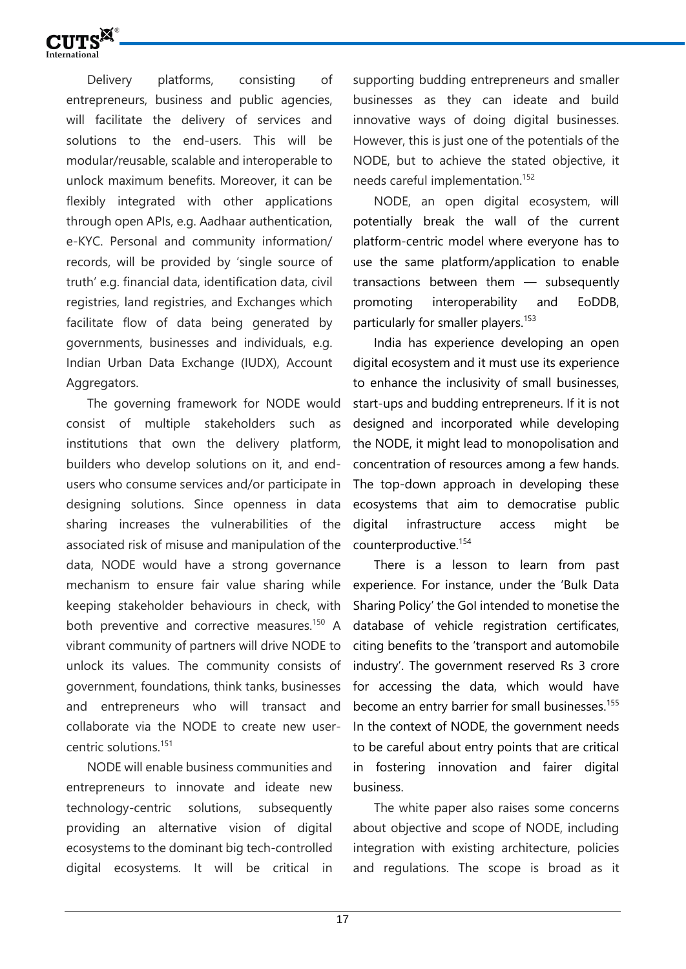

Delivery platforms, consisting of entrepreneurs, business and public agencies, will facilitate the delivery of services and solutions to the end-users. This will be modular/reusable, scalable and interoperable to unlock maximum benefits. Moreover, it can be flexibly integrated with other applications through open APIs, e.g. Aadhaar authentication, e-KYC. Personal and community information/ records, will be provided by 'single source of truth' e.g. financial data, identification data, civil registries, land registries, and Exchanges which facilitate flow of data being generated by governments, businesses and individuals, e.g. Indian Urban Data Exchange (IUDX), Account Aggregators.

The governing framework for NODE would consist of multiple stakeholders such as institutions that own the delivery platform, builders who develop solutions on it, and endusers who consume services and/or participate in designing solutions. Since openness in data sharing increases the vulnerabilities of the associated risk of misuse and manipulation of the data, NODE would have a strong governance mechanism to ensure fair value sharing while keeping stakeholder behaviours in check, with both preventive and corrective measures.<sup>150</sup> A vibrant community of partners will drive NODE to unlock its values. The community consists of government, foundations, think tanks, businesses and entrepreneurs who will transact and collaborate via the NODE to create new usercentric solutions.<sup>151</sup>

NODE will enable business communities and entrepreneurs to innovate and ideate new technology-centric solutions, subsequently providing an alternative vision of digital ecosystems to the dominant big tech-controlled digital ecosystems. It will be critical in

supporting budding entrepreneurs and smaller businesses as they can ideate and build innovative ways of doing digital businesses. However, this is just one of the potentials of the NODE, but to achieve the stated objective, it needs careful implementation.<sup>152</sup>

NODE, an open digital ecosystem, will potentially break the wall of the current platform-centric model where everyone has to use the same platform/application to enable transactions between them — subsequently promoting interoperability and EoDDB, particularly for smaller players.<sup>153</sup>

India has experience developing an open digital ecosystem and it must use its experience to enhance the inclusivity of small businesses, start-ups and budding entrepreneurs. If it is not designed and incorporated while developing the NODE, it might lead to monopolisation and concentration of resources among a few hands. The top-down approach in developing these ecosystems that aim to democratise public digital infrastructure access might be counterproductive.<sup>154</sup>

There is a lesson to learn from past experience. For instance, under the 'Bulk Data Sharing Policy' the GoI intended to monetise the database of vehicle registration certificates, citing benefits to the 'transport and automobile industry'. The government reserved Rs 3 crore for accessing the data, which would have become an entry barrier for small businesses.<sup>155</sup> In the context of NODE, the government needs to be careful about entry points that are critical in fostering innovation and fairer digital business.

The white paper also raises some concerns about objective and scope of NODE, including integration with existing architecture, policies and regulations. The scope is broad as it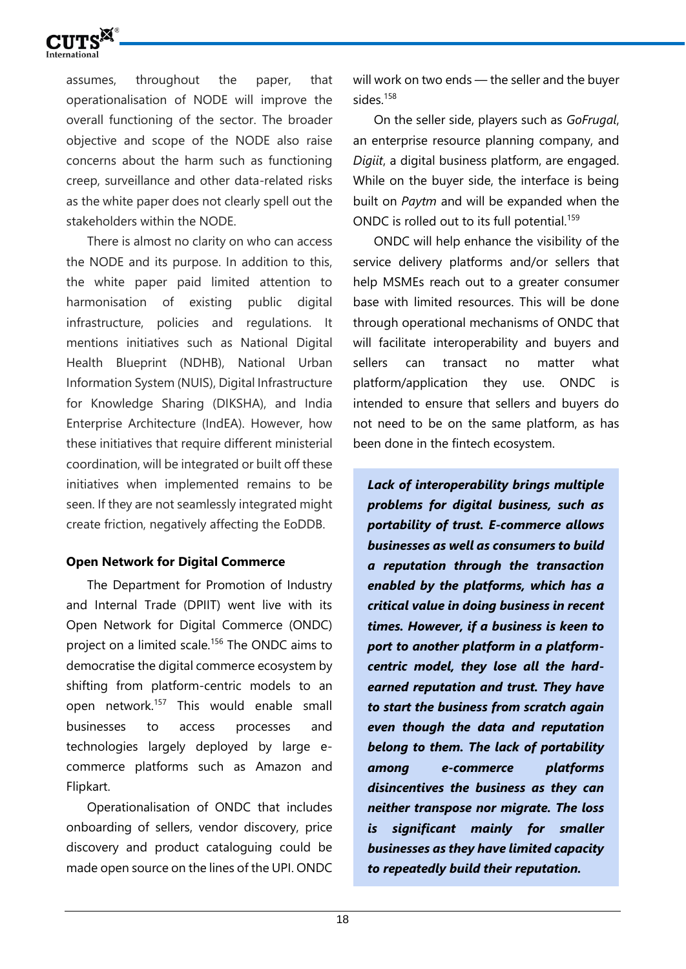

assumes, throughout the paper, that operationalisation of NODE will improve the overall functioning of the sector. The broader objective and scope of the NODE also raise concerns about the harm such as functioning creep, surveillance and other data-related risks as the white paper does not clearly spell out the stakeholders within the NODE.

There is almost no clarity on who can access the NODE and its purpose. In addition to this, the white paper paid limited attention to harmonisation of existing public digital infrastructure, policies and regulations. It mentions initiatives such as National Digital Health Blueprint (NDHB), National Urban Information System (NUIS), Digital Infrastructure for Knowledge Sharing (DIKSHA), and India Enterprise Architecture (IndEA). However, how these initiatives that require different ministerial coordination, will be integrated or built off these initiatives when implemented remains to be seen. If they are not seamlessly integrated might create friction, negatively affecting the EoDDB.

#### **Open Network for Digital Commerce**

The Department for Promotion of Industry and Internal Trade (DPIIT) went live with its Open Network for Digital Commerce (ONDC) project on a limited scale.<sup>156</sup> The ONDC aims to democratise the digital commerce ecosystem by shifting from platform-centric models to an open network.<sup>157</sup> This would enable small businesses to access processes and technologies largely deployed by large ecommerce platforms such as Amazon and Flipkart.

Operationalisation of ONDC that includes onboarding of sellers, vendor discovery, price discovery and product cataloguing could be made open source on the lines of the UPI. ONDC

will work on two ends — the seller and the buyer sides<sup>158</sup>

On the seller side, players such as *GoFrugal*, an enterprise resource planning company, and *Digiit*, a digital business platform, are engaged. While on the buyer side, the interface is being built on *Paytm* and will be expanded when the ONDC is rolled out to its full potential.<sup>159</sup>

ONDC will help enhance the visibility of the service delivery platforms and/or sellers that help MSMEs reach out to a greater consumer base with limited resources. This will be done through operational mechanisms of ONDC that will facilitate interoperability and buyers and sellers can transact no matter what platform/application they use. ONDC is intended to ensure that sellers and buyers do not need to be on the same platform, as has been done in the fintech ecosystem.

*Lack of interoperability brings multiple problems for digital business, such as portability of trust. E-commerce allows businesses as well as consumers to build a reputation through the transaction enabled by the platforms, which has a critical value in doing business in recent times. However, if a business is keen to port to another platform in a platformcentric model, they lose all the hardearned reputation and trust. They have to start the business from scratch again even though the data and reputation belong to them. The lack of portability among e-commerce platforms disincentives the business as they can neither transpose nor migrate. The loss is significant mainly for smaller businesses as they have limited capacity to repeatedly build their reputation.*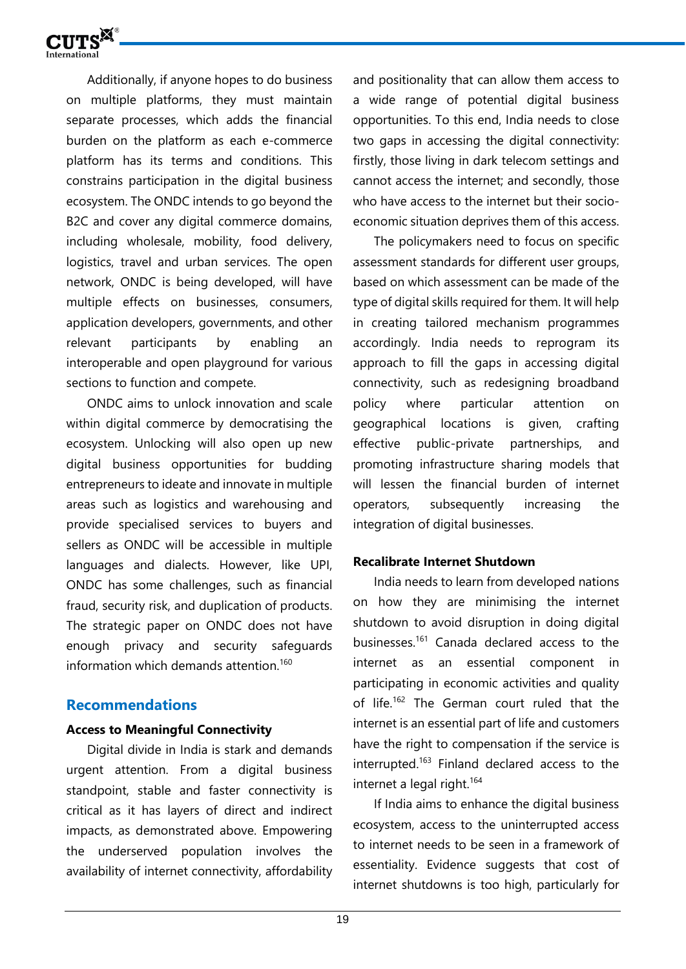

Additionally, if anyone hopes to do business on multiple platforms, they must maintain separate processes, which adds the financial burden on the platform as each e-commerce platform has its terms and conditions. This constrains participation in the digital business ecosystem. The ONDC intends to go beyond the B2C and cover any digital commerce domains, including wholesale, mobility, food delivery, logistics, travel and urban services. The open network, ONDC is being developed, will have multiple effects on businesses, consumers, application developers, governments, and other relevant participants by enabling an interoperable and open playground for various sections to function and compete.

ONDC aims to unlock innovation and scale within digital commerce by democratising the ecosystem. Unlocking will also open up new digital business opportunities for budding entrepreneurs to ideate and innovate in multiple areas such as logistics and warehousing and provide specialised services to buyers and sellers as ONDC will be accessible in multiple languages and dialects. However, like UPI, ONDC has some challenges, such as financial fraud, security risk, and duplication of products. The strategic paper on ONDC does not have enough privacy and security safeguards information which demands attention.<sup>160</sup>

## **Recommendations**

#### **Access to Meaningful Connectivity**

Digital divide in India is stark and demands urgent attention. From a digital business standpoint, stable and faster connectivity is critical as it has layers of direct and indirect impacts, as demonstrated above. Empowering the underserved population involves the availability of internet connectivity, affordability

and positionality that can allow them access to a wide range of potential digital business opportunities. To this end, India needs to close two gaps in accessing the digital connectivity: firstly, those living in dark telecom settings and cannot access the internet; and secondly, those who have access to the internet but their socioeconomic situation deprives them of this access.

The policymakers need to focus on specific assessment standards for different user groups, based on which assessment can be made of the type of digital skills required for them. It will help in creating tailored mechanism programmes accordingly. India needs to reprogram its approach to fill the gaps in accessing digital connectivity, such as redesigning broadband policy where particular attention on geographical locations is given, crafting effective public-private partnerships, and promoting infrastructure sharing models that will lessen the financial burden of internet operators, subsequently increasing the integration of digital businesses.

#### **Recalibrate Internet Shutdown**

India needs to learn from developed nations on how they are minimising the internet shutdown to avoid disruption in doing digital businesses.<sup>161</sup> Canada declared access to the internet as an essential component in participating in economic activities and quality of life.<sup>162</sup> The German court ruled that the internet is an essential part of life and customers have the right to compensation if the service is interrupted.<sup>163</sup> Finland declared access to the internet a legal right.<sup>164</sup>

If India aims to enhance the digital business ecosystem, access to the uninterrupted access to internet needs to be seen in a framework of essentiality. Evidence suggests that cost of internet shutdowns is too high, particularly for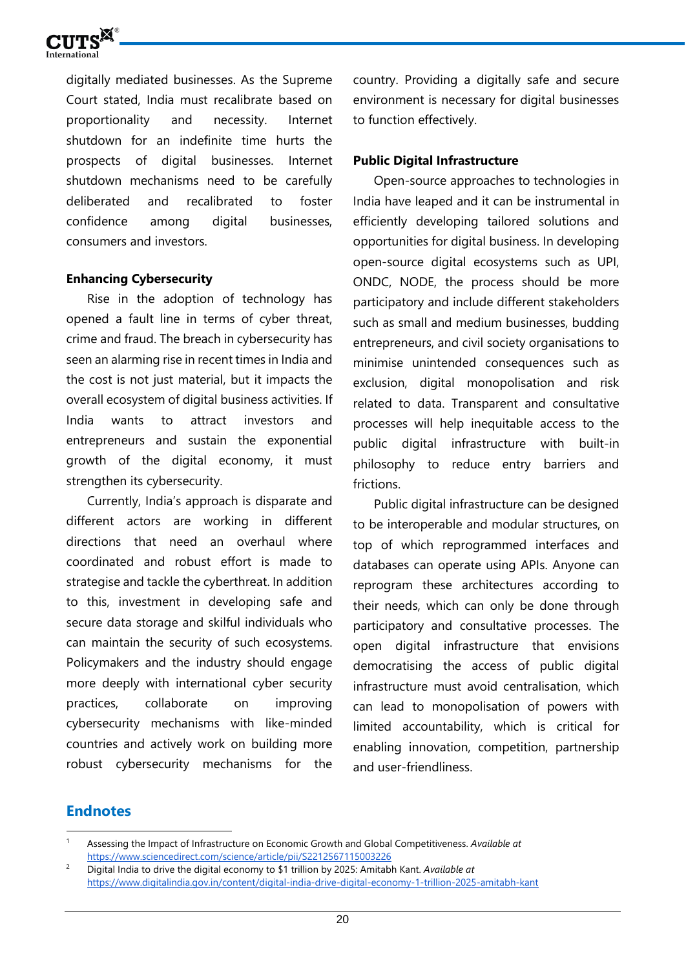

digitally mediated businesses. As the Supreme Court stated, India must recalibrate based on proportionality and necessity. Internet shutdown for an indefinite time hurts the prospects of digital businesses. Internet shutdown mechanisms need to be carefully deliberated and recalibrated to foster confidence among digital businesses, consumers and investors.

#### **Enhancing Cybersecurity**

Rise in the adoption of technology has opened a fault line in terms of cyber threat, crime and fraud. The breach in cybersecurity has seen an alarming rise in recent times in India and the cost is not just material, but it impacts the overall ecosystem of digital business activities. If India wants to attract investors and entrepreneurs and sustain the exponential growth of the digital economy, it must strengthen its cybersecurity.

Currently, India's approach is disparate and different actors are working in different directions that need an overhaul where coordinated and robust effort is made to strategise and tackle the cyberthreat. In addition to this, investment in developing safe and secure data storage and skilful individuals who can maintain the security of such ecosystems. Policymakers and the industry should engage more deeply with international cyber security practices, collaborate on improving cybersecurity mechanisms with like-minded countries and actively work on building more robust cybersecurity mechanisms for the

country. Providing a digitally safe and secure environment is necessary for digital businesses to function effectively.

#### **Public Digital Infrastructure**

Open-source approaches to technologies in India have leaped and it can be instrumental in efficiently developing tailored solutions and opportunities for digital business. In developing open-source digital ecosystems such as UPI, ONDC, NODE, the process should be more participatory and include different stakeholders such as small and medium businesses, budding entrepreneurs, and civil society organisations to minimise unintended consequences such as exclusion, digital monopolisation and risk related to data. Transparent and consultative processes will help inequitable access to the public digital infrastructure with built-in philosophy to reduce entry barriers and frictions.

Public digital infrastructure can be designed to be interoperable and modular structures, on top of which reprogrammed interfaces and databases can operate using APIs. Anyone can reprogram these architectures according to their needs, which can only be done through participatory and consultative processes. The open digital infrastructure that envisions democratising the access of public digital infrastructure must avoid centralisation, which can lead to monopolisation of powers with limited accountability, which is critical for enabling innovation, competition, partnership and user-friendliness.

## **Endnotes**

<sup>1</sup> Assessing the Impact of Infrastructure on Economic Growth and Global Competitiveness. *Available at* <https://www.sciencedirect.com/science/article/pii/S2212567115003226>

<sup>2</sup> Digital India to drive the digital economy to \$1 trillion by 2025: Amitabh Kant. *Available at* <https://www.digitalindia.gov.in/content/digital-india-drive-digital-economy-1-trillion-2025-amitabh-kant>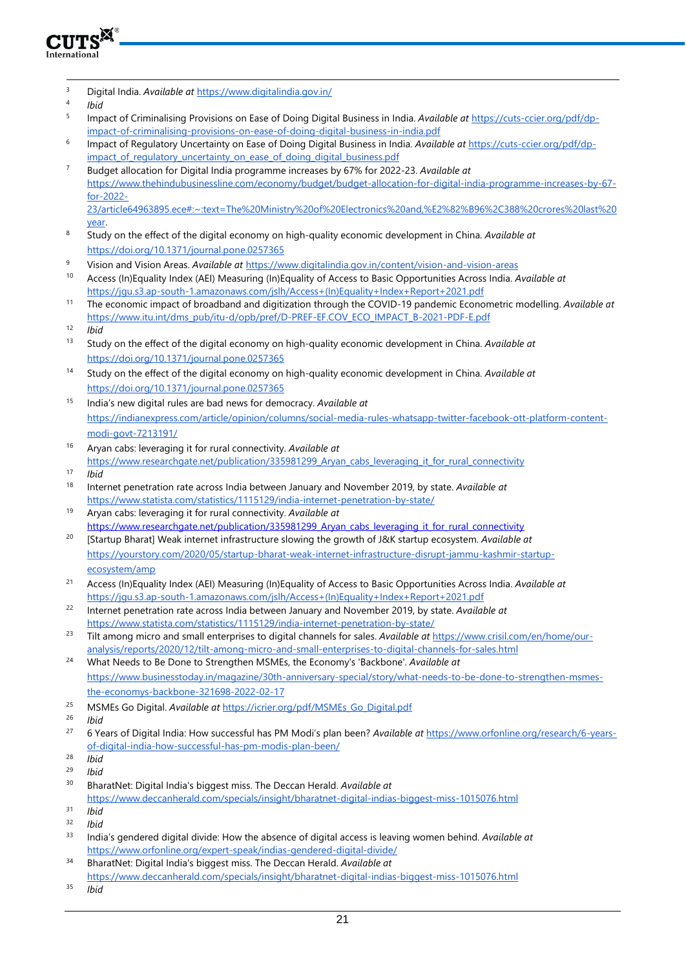

- <sup>3</sup> Digital India. *Available at* <https://www.digitalindia.gov.in/>
- 4 *Ibid*
- 5 Impact of Criminalising Provisions on Ease of Doing Digital Business in India. *Available at* [https://cuts-ccier.org/pdf/dp](https://cuts-ccier.org/pdf/dp-impact-of-criminalising-provisions-on-ease-of-doing-digital-business-in-india.pdf)[impact-of-criminalising-provisions-on-ease-of-doing-digital-business-in-india.pdf](https://cuts-ccier.org/pdf/dp-impact-of-criminalising-provisions-on-ease-of-doing-digital-business-in-india.pdf)
- 6 Impact of Regulatory Uncertainty on Ease of Doing Digital Business in India. *Available at* [https://cuts-ccier.org/pdf/dp](https://cuts-ccier.org/pdf/dp-impact_of_regulatory_uncertainty_on_ease_of_doing_digital_business.pdf)impact of regulatory uncertainty on ease of doing digital business.pdf
- <sup>7</sup> Budget allocation for Digital India programme increases by 67% for 2022-23. *Available at* [https://www.thehindubusinessline.com/economy/budget/budget-allocation-for-digital-india-programme-increases-by-67](https://www.thehindubusinessline.com/economy/budget/budget-allocation-for-digital-india-programme-increases-by-67-for-2022-23/article64963895.ece#:~:text=The%20Ministry%20of%20Electronics%20and,%E2%82%B96%2C388%20crores%20last%20year) [for-2022-](https://www.thehindubusinessline.com/economy/budget/budget-allocation-for-digital-india-programme-increases-by-67-for-2022-23/article64963895.ece#:~:text=The%20Ministry%20of%20Electronics%20and,%E2%82%B96%2C388%20crores%20last%20year) [23/article64963895.ece#:~:text=The%20Ministry%20of%20Electronics%20and,%E2%82%B96%2C388%20crores%20last%20](https://www.thehindubusinessline.com/economy/budget/budget-allocation-for-digital-india-programme-increases-by-67-for-2022-23/article64963895.ece#:~:text=The%20Ministry%20of%20Electronics%20and,%E2%82%B96%2C388%20crores%20last%20year)

[year.](https://www.thehindubusinessline.com/economy/budget/budget-allocation-for-digital-india-programme-increases-by-67-for-2022-23/article64963895.ece#:~:text=The%20Ministry%20of%20Electronics%20and,%E2%82%B96%2C388%20crores%20last%20year)

- <sup>8</sup> Study on the effect of the digital economy on high-quality economic development in China. *Available at*  https://doi.org/10.1371/journal.pone.0257365
- <sup>9</sup> Vision and Vision Areas. *Available at* <https://www.digitalindia.gov.in/content/vision-and-vision-areas>
- <sup>10</sup> Access (In)Equality Index (AEI) Measuring (In)Equality of Access to Basic Opportunities Across India. *Available at* [https://jgu.s3.ap-south-1.amazonaws.com/jslh/Access+\(In\)Equality+Index+Report+2021.pdf](https://jgu.s3.ap-south-1.amazonaws.com/jslh/Access+(In)Equality+Index+Report+2021.pdf)
- <sup>11</sup> The economic impact of broadband and digitization through the COVID-19 pandemic Econometric modelling. *Available at* [https://www.itu.int/dms\\_pub/itu-d/opb/pref/D-PREF-EF.COV\\_ECO\\_IMPACT\\_B-2021-PDF-E.pdf](https://www.itu.int/dms_pub/itu-d/opb/pref/D-PREF-EF.COV_ECO_IMPACT_B-2021-PDF-E.pdf)
- <sup>12</sup> *Ibid*
- <sup>13</sup> Study on the effect of the digital economy on high-quality economic development in China. *Available at*  <https://doi.org/10.1371/journal.pone.0257365>
- <sup>14</sup> Study on the effect of the digital economy on high-quality economic development in China. *Available at*  <https://doi.org/10.1371/journal.pone.0257365>
- <sup>15</sup> India's new digital rules are bad news for democracy. *Available at* [https://indianexpress.com/article/opinion/columns/social-media-rules-whatsapp-twitter-facebook-ott-platform-content](https://indianexpress.com/article/opinion/columns/social-media-rules-whatsapp-twitter-facebook-ott-platform-content-modi-govt-7213191/)[modi-govt-7213191/](https://indianexpress.com/article/opinion/columns/social-media-rules-whatsapp-twitter-facebook-ott-platform-content-modi-govt-7213191/)
- <sup>16</sup> Aryan cabs: leveraging it for rural connectivity. *Available at*  [https://www.researchgate.net/publication/335981299\\_Aryan\\_cabs\\_leveraging\\_it\\_for\\_rural\\_connectivity](https://www.researchgate.net/publication/335981299_Aryan_cabs_leveraging_it_for_rural_connectivity)\_
- $17$  *Ibid*
- <sup>18</sup> Internet penetration rate across India between January and November 2019, by state. *Available at* <https://www.statista.com/statistics/1115129/india-internet-penetration-by-state/>
- <sup>19</sup> Aryan cabs: leveraging it for rural connectivity. *Available at* https://www.researchgate.net/publication/335981299\_Aryan\_cabs\_leveraging\_it\_for\_rural\_connectivity
- <sup>20</sup> [Startup Bharat] Weak internet infrastructure slowing the growth of J&K startup ecosystem. *Available at* [https://yourstory.com/2020/05/startup-bharat-weak-internet-infrastructure-disrupt-jammu-kashmir-startup](https://yourstory.com/2020/05/startup-bharat-weak-internet-infrastructure-disrupt-jammu-kashmir-startup-ecosystem/amp)[ecosystem/amp](https://yourstory.com/2020/05/startup-bharat-weak-internet-infrastructure-disrupt-jammu-kashmir-startup-ecosystem/amp)
- <sup>21</sup> Access (In)Equality Index (AEI) Measuring (In)Equality of Access to Basic Opportunities Across India. *Available at* [https://jgu.s3.ap-south-1.amazonaws.com/jslh/Access+\(In\)Equality+Index+Report+2021.pdf](https://jgu.s3.ap-south-1.amazonaws.com/jslh/Access+(In)Equality+Index+Report+2021.pdf)
- <sup>22</sup> Internet penetration rate across India between January and November 2019, by state. *Available at* <https://www.statista.com/statistics/1115129/india-internet-penetration-by-state/>
- <sup>23</sup> Tilt among micro and small enterprises to digital channels for sales. *Available at* [https://www.crisil.com/en/home/our](https://www.crisil.com/en/home/our-analysis/reports/2020/12/tilt-among-micro-and-small-enterprises-to-digital-channels-for-sales.html)[analysis/reports/2020/12/tilt-among-micro-and-small-enterprises-to-digital-channels-for-sales.html](https://www.crisil.com/en/home/our-analysis/reports/2020/12/tilt-among-micro-and-small-enterprises-to-digital-channels-for-sales.html)
- <sup>24</sup> What Needs to Be Done to Strengthen MSMEs, the Economy's 'Backbone'. *Available at*  [https://www.businesstoday.in/magazine/30th-anniversary-special/story/what-needs-to-be-done-to-strengthen-msmes](https://www.businesstoday.in/magazine/30th-anniversary-special/story/what-needs-to-be-done-to-strengthen-msmes-the-economys-backbone-321698-2022-02-17)[the-economys-backbone-321698-2022-02-17](https://www.businesstoday.in/magazine/30th-anniversary-special/story/what-needs-to-be-done-to-strengthen-msmes-the-economys-backbone-321698-2022-02-17)
- <sup>25</sup> MSMEs Go Digital. *Available at* [https://icrier.org/pdf/MSMEs\\_Go\\_Digital.pdf](https://icrier.org/pdf/MSMEs_Go_Digital.pdf)

- <sup>27</sup> 6 Years of Digital India: How successful has PM Modi's plan been? *Available at* [https://www.orfonline.org/research/6-years](https://www.orfonline.org/research/6-years-of-digital-india-how-successful-has-pm-modis-plan-been/)[of-digital-india-how-successful-has-pm-modis-plan-been/](https://www.orfonline.org/research/6-years-of-digital-india-how-successful-has-pm-modis-plan-been/)
- $\frac{28}{29}$  *Ibid*
- <sup>29</sup> *Ibid*
- <sup>30</sup> BharatNet: Digital India's biggest miss. The Deccan Herald. *Available at* <https://www.deccanherald.com/specials/insight/bharatnet-digital-indias-biggest-miss-1015076.html>
- <sup>31</sup> *Ibid*
- <sup>32</sup> *Ibid*
- <sup>33</sup> India's gendered digital divide: How the absence of digital access is leaving women behind. *Available at* <https://www.orfonline.org/expert-speak/indias-gendered-digital-divide/>
- <sup>34</sup> BharatNet: Digital India's biggest miss. The Deccan Herald. *Available at* <https://www.deccanherald.com/specials/insight/bharatnet-digital-indias-biggest-miss-1015076.html>
- <sup>35</sup> *Ibid*

<sup>26</sup> *Ibid*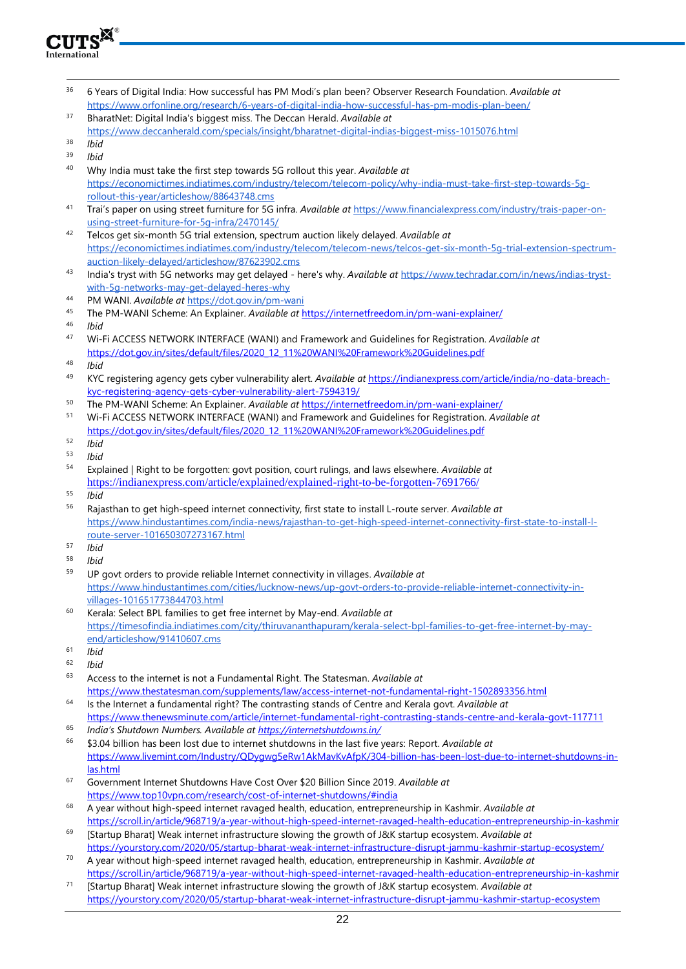

- <sup>36</sup> 6 Years of Digital India: How successful has PM Modi's plan been? Observer Research Foundation. *Available at* <https://www.orfonline.org/research/6-years-of-digital-india-how-successful-has-pm-modis-plan-been/>
- <sup>37</sup> BharatNet: Digital India's biggest miss. The Deccan Herald. *Available at* <https://www.deccanherald.com/specials/insight/bharatnet-digital-indias-biggest-miss-1015076.html>

- <sup>39</sup> *Ibid*
- <sup>40</sup> Why India must take the first step towards 5G rollout this year. *Available at* [https://economictimes.indiatimes.com/industry/telecom/telecom-policy/why-india-must-take-first-step-towards-5g](https://economictimes.indiatimes.com/industry/telecom/telecom-policy/why-india-must-take-first-step-towards-5g-rollout-this-year/articleshow/88643748.cms)[rollout-this-year/articleshow/88643748.cms](https://economictimes.indiatimes.com/industry/telecom/telecom-policy/why-india-must-take-first-step-towards-5g-rollout-this-year/articleshow/88643748.cms)
- <sup>41</sup> Trai's paper on using street furniture for 5G infra. *Available at* [https://www.financialexpress.com/industry/trais-paper-on](https://www.financialexpress.com/industry/trais-paper-on-using-street-furniture-for-5g-infra/2470145/)[using-street-furniture-for-5g-infra/2470145/](https://www.financialexpress.com/industry/trais-paper-on-using-street-furniture-for-5g-infra/2470145/)
- <sup>42</sup> Telcos get six-month 5G trial extension, spectrum auction likely delayed. *Available at* [https://economictimes.indiatimes.com/industry/telecom/telecom-news/telcos-get-six-month-5g-trial-extension-spectrum](https://economictimes.indiatimes.com/industry/telecom/telecom-news/telcos-get-six-month-5g-trial-extension-spectrum-auction-likely-delayed/articleshow/87623902.cms)[auction-likely-delayed/articleshow/87623902.cms](https://economictimes.indiatimes.com/industry/telecom/telecom-news/telcos-get-six-month-5g-trial-extension-spectrum-auction-likely-delayed/articleshow/87623902.cms)
- <sup>43</sup> India's tryst with 5G networks may get delayed here's why. *Available at* [https://www.techradar.com/in/news/indias-tryst](https://www.techradar.com/in/news/indias-tryst-with-5g-networks-may-get-delayed-heres-why)[with-5g-networks-may-get-delayed-heres-why](https://www.techradar.com/in/news/indias-tryst-with-5g-networks-may-get-delayed-heres-why)
- <sup>44</sup> PM WANI. *Available at* <https://dot.gov.in/pm-wani>
- <sup>45</sup> The PM-WANI Scheme: An Explainer. *Available at* <https://internetfreedom.in/pm-wani-explainer/>
- <sup>46</sup> *Ibid*
- <sup>47</sup> Wi-Fi ACCESS NETWORK INTERFACE (WANI) and Framework and Guidelines for Registration. *Available at*  [https://dot.gov.in/sites/default/files/2020\\_12\\_11%20WANI%20Framework%20Guidelines.pdf](https://dot.gov.in/sites/default/files/2020_12_11%20WANI%20Framework%20Guidelines.pdf)
- <sup>48</sup> *Ibid*
- <sup>49</sup> KYC registering agency gets cyber vulnerability alert. *Available at* [https://indianexpress.com/article/india/no-data-breach](https://indianexpress.com/article/india/no-data-breach-kyc-registering-agency-gets-cyber-vulnerability-alert-7594319/)[kyc-registering-agency-gets-cyber-vulnerability-alert-7594319/](https://indianexpress.com/article/india/no-data-breach-kyc-registering-agency-gets-cyber-vulnerability-alert-7594319/)
- <sup>50</sup> The PM-WANI Scheme: An Explainer. *Available at* <https://internetfreedom.in/pm-wani-explainer/>
- <sup>51</sup> Wi-Fi ACCESS NETWORK INTERFACE (WANI) and Framework and Guidelines for Registration. *Available at* [https://dot.gov.in/sites/default/files/2020\\_12\\_11%20WANI%20Framework%20Guidelines.pdf](https://dot.gov.in/sites/default/files/2020_12_11%20WANI%20Framework%20Guidelines.pdf)
- <sup>52</sup> *Ibid*
- <sup>53</sup> *Ibid*
- <sup>54</sup> Explained | Right to be forgotten: govt position, court rulings, and laws elsewhere. *Available at*  <https://indianexpress.com/article/explained/explained-right-to-be-forgotten-7691766/>
- <sup>55</sup> *Ibid*
- <sup>56</sup> Rajasthan to get high-speed internet connectivity, first state to install L-route server. *Available at* [https://www.hindustantimes.com/india-news/rajasthan-to-get-high-speed-internet-connectivity-first-state-to-install-l](https://www.hindustantimes.com/india-news/rajasthan-to-get-high-speed-internet-connectivity-first-state-to-install-l-route-server-101650307273167.html)[route-server-101650307273167.html](https://www.hindustantimes.com/india-news/rajasthan-to-get-high-speed-internet-connectivity-first-state-to-install-l-route-server-101650307273167.html)
- <sup>57</sup> *Ibid*
- <sup>58</sup> *Ibid*
- <sup>59</sup> UP govt orders to provide reliable Internet connectivity in villages. *Available at* [https://www.hindustantimes.com/cities/lucknow-news/up-govt-orders-to-provide-reliable-internet-connectivity-in](https://www.hindustantimes.com/cities/lucknow-news/up-govt-orders-to-provide-reliable-internet-connectivity-in-villages-101651773844703.html)[villages-101651773844703.html](https://www.hindustantimes.com/cities/lucknow-news/up-govt-orders-to-provide-reliable-internet-connectivity-in-villages-101651773844703.html)
- <sup>60</sup> Kerala: Select BPL families to get free internet by May-end. *Available at* [https://timesofindia.indiatimes.com/city/thiruvananthapuram/kerala-select-bpl-families-to-get-free-internet-by-may](https://timesofindia.indiatimes.com/city/thiruvananthapuram/kerala-select-bpl-families-to-get-free-internet-by-may-end/articleshow/91410607.cms)[end/articleshow/91410607.cms](https://timesofindia.indiatimes.com/city/thiruvananthapuram/kerala-select-bpl-families-to-get-free-internet-by-may-end/articleshow/91410607.cms)
- $\frac{61}{62}$  *Ibid*
- <sup>62</sup> *Ibid*
- <sup>63</sup> Access to the internet is not a Fundamental Right. The Statesman. *Available at* <https://www.thestatesman.com/supplements/law/access-internet-not-fundamental-right-1502893356.html>
- <sup>64</sup> Is the Internet a fundamental right? The contrasting stands of Centre and Kerala govt. *Available at* <https://www.thenewsminute.com/article/internet-fundamental-right-contrasting-stands-centre-and-kerala-govt-117711>
- <sup>65</sup> *India's Shutdown Numbers. Available at <https://internetshutdowns.in/>*
- <sup>66</sup> \$3.04 billion has been lost due to internet shutdowns in the last five years: Report. *Available at* [https://www.livemint.com/Industry/QDygwg5eRw1AkMavKvAfpK/304-billion-has-been-lost-due-to-internet-shutdowns-in](https://www.livemint.com/Industry/QDygwg5eRw1AkMavKvAfpK/304-billion-has-been-lost-due-to-internet-shutdowns-in-las.html)[las.html](https://www.livemint.com/Industry/QDygwg5eRw1AkMavKvAfpK/304-billion-has-been-lost-due-to-internet-shutdowns-in-las.html)
- <sup>67</sup> Government Internet Shutdowns Have Cost Over \$20 Billion Since 2019. *Available at* <https://www.top10vpn.com/research/cost-of-internet-shutdowns/#india>
- <sup>68</sup> A year without high-speed internet ravaged health, education, entrepreneurship in Kashmir. *Available at*  <https://scroll.in/article/968719/a-year-without-high-speed-internet-ravaged-health-education-entrepreneurship-in-kashmir>
- <sup>69</sup> [Startup Bharat] Weak internet infrastructure slowing the growth of J&K startup ecosystem. *Available at* <https://yourstory.com/2020/05/startup-bharat-weak-internet-infrastructure-disrupt-jammu-kashmir-startup-ecosystem/>
- <sup>70</sup> A year without high-speed internet ravaged health, education, entrepreneurship in Kashmir. *Available at*  <https://scroll.in/article/968719/a-year-without-high-speed-internet-ravaged-health-education-entrepreneurship-in-kashmir>
- <sup>71</sup> [Startup Bharat] Weak internet infrastructure slowing the growth of J&K startup ecosystem. *Available at*  <https://yourstory.com/2020/05/startup-bharat-weak-internet-infrastructure-disrupt-jammu-kashmir-startup-ecosystem>

 $\frac{38}{1}$  *Ibid*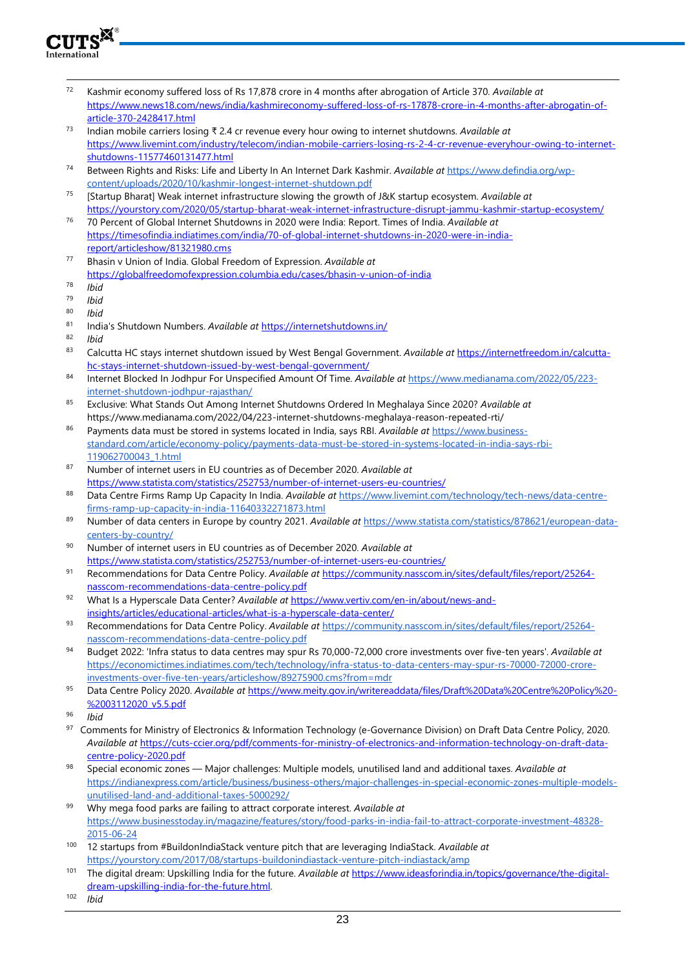

- <sup>72</sup> Kashmir economy suffered loss of Rs 17,878 crore in 4 months after abrogation of Article 370. *Available at* [https://www.news18.com/news/india/kashmireconomy-suffered-loss-of-rs-17878-crore-in-4-months-after-abrogatin-of](https://www.news18.com/news/india/kashmireconomy-suffered-loss-of-rs-17878-crore-in-4-months-after-abrogatin-of-article-370-2428417.html)[article-370-2428417.html](https://www.news18.com/news/india/kashmireconomy-suffered-loss-of-rs-17878-crore-in-4-months-after-abrogatin-of-article-370-2428417.html)
- <sup>73</sup> Indian mobile carriers losing ₹ 2.4 cr revenue every hour owing to internet shutdowns. *Available at* [https://www.livemint.com/industry/telecom/indian-mobile-carriers-losing-rs-2-4-cr-revenue-everyhour-owing-to-internet](https://www.livemint.com/industry/telecom/indian-mobile-carriers-losing-rs-2-4-cr-revenue-everyhour-owing-to-internet-shutdowns-11577460131477.html)[shutdowns-11577460131477.html](https://www.livemint.com/industry/telecom/indian-mobile-carriers-losing-rs-2-4-cr-revenue-everyhour-owing-to-internet-shutdowns-11577460131477.html)
- <sup>74</sup> Between Rights and Risks: Life and Liberty In An Internet Dark Kashmir. *Available at* [https://www.defindia.org/wp](https://www.defindia.org/wp-content/uploads/2020/10/kashmir-longest-internet-shutdown.pdf)[content/uploads/2020/10/kashmir-longest-internet-shutdown.pdf](https://www.defindia.org/wp-content/uploads/2020/10/kashmir-longest-internet-shutdown.pdf)
- <sup>75</sup> [Startup Bharat] Weak internet infrastructure slowing the growth of J&K startup ecosystem. *Available at* <https://yourstory.com/2020/05/startup-bharat-weak-internet-infrastructure-disrupt-jammu-kashmir-startup-ecosystem/>
- <sup>76</sup> 70 Percent of Global Internet Shutdowns in 2020 were India: Report. Times of India. *Available at*  [https://timesofindia.indiatimes.com/india/70-of-global-internet-shutdowns-in-2020-were-in-india](https://timesofindia.indiatimes.com/india/70-of-global-internet-shutdowns-in-2020-were-in-india-report/articleshow/81321980.cms)[report/articleshow/81321980.cms](https://timesofindia.indiatimes.com/india/70-of-global-internet-shutdowns-in-2020-were-in-india-report/articleshow/81321980.cms)
- <sup>77</sup> Bhasin v Union of India. Global Freedom of Expression. *Available at* <https://globalfreedomofexpression.columbia.edu/cases/bhasin-v-union-of-india>
- $\frac{78}{79}$  *Ibid*
- <sup>79</sup> *Ibid*
- <sup>80</sup> *Ibid*
- 81 India's Shutdown Numbers. *Available at* <https://internetshutdowns.in/><br>82 Ibid
- <sup>82</sup> *Ibid*
- 83 Calcutta HC stays internet shutdown issued by West Bengal Government. Available at [https://internetfreedom.in/calcutta](https://internetfreedom.in/calcutta-hc-stays-internet-shutdown-issued-by-west-bengal-government/)[hc-stays-internet-shutdown-issued-by-west-bengal-government/](https://internetfreedom.in/calcutta-hc-stays-internet-shutdown-issued-by-west-bengal-government/)
- <sup>84</sup> Internet Blocked In Jodhpur For Unspecified Amount Of Time. *Available at* [https://www.medianama.com/2022/05/223](https://www.medianama.com/2022/05/223-internet-shutdown-jodhpur-rajasthan/) [internet-shutdown-jodhpur-rajasthan/](https://www.medianama.com/2022/05/223-internet-shutdown-jodhpur-rajasthan/)
- <sup>85</sup> Exclusive: What Stands Out Among Internet Shutdowns Ordered In Meghalaya Since 2020? *Available at* <https://www.medianama.com/2022/04/223-internet-shutdowns-meghalaya-reason-repeated-rti/>
- <sup>86</sup> Payments data must be stored in systems located in India, says RBI. *Available at* [https://www.business](https://www.business-standard.com/article/economy-policy/payments-data-must-be-stored-in-systems-located-in-india-says-rbi-119062700043_1.html)[standard.com/article/economy-policy/payments-data-must-be-stored-in-systems-located-in-india-says-rbi-](https://www.business-standard.com/article/economy-policy/payments-data-must-be-stored-in-systems-located-in-india-says-rbi-119062700043_1.html)[119062700043\\_1.html](https://www.business-standard.com/article/economy-policy/payments-data-must-be-stored-in-systems-located-in-india-says-rbi-119062700043_1.html)
- <sup>87</sup> Number of internet users in EU countries as of December 2020. *Available at* <https://www.statista.com/statistics/252753/number-of-internet-users-eu-countries/>
- <sup>88</sup> Data Centre Firms Ramp Up Capacity In India. *Available at* [https://www.livemint.com/technology/tech-news/data-centre](https://www.livemint.com/technology/tech-news/data-centre-firms-ramp-up-capacity-in-india-11640332271873.html)[firms-ramp-up-capacity-in-india-11640332271873.html](https://www.livemint.com/technology/tech-news/data-centre-firms-ramp-up-capacity-in-india-11640332271873.html)
- <sup>89</sup> Number of data centers in Europe by country 2021. *Available at* [https://www.statista.com/statistics/878621/european-data](https://www.statista.com/statistics/878621/european-data-centers-by-country/)[centers-by-country/](https://www.statista.com/statistics/878621/european-data-centers-by-country/)
- <sup>90</sup> Number of internet users in EU countries as of December 2020. *Available at* <https://www.statista.com/statistics/252753/number-of-internet-users-eu-countries/>
- <sup>91</sup> Recommendations for Data Centre Policy. *Available at* [https://community.nasscom.in/sites/default/files/report/25264](https://community.nasscom.in/sites/default/files/report/25264-nasscom-recommendations-data-centre-policy.pdf) [nasscom-recommendations-data-centre-policy.pdf](https://community.nasscom.in/sites/default/files/report/25264-nasscom-recommendations-data-centre-policy.pdf)
- <sup>92</sup> What Is a Hyperscale Data Center? *Available at* [https://www.vertiv.com/en-in/about/news-and](https://www.vertiv.com/en-in/about/news-and-insights/articles/educational-articles/what-is-a-hyperscale-data-center/)[insights/articles/educational-articles/what-is-a-hyperscale-data-center/](https://www.vertiv.com/en-in/about/news-and-insights/articles/educational-articles/what-is-a-hyperscale-data-center/)
- <sup>93</sup> Recommendations for Data Centre Policy. *Available at* [https://community.nasscom.in/sites/default/files/report/25264](https://community.nasscom.in/sites/default/files/report/25264-nasscom-recommendations-data-centre-policy.pdf) [nasscom-recommendations-data-centre-policy.pdf](https://community.nasscom.in/sites/default/files/report/25264-nasscom-recommendations-data-centre-policy.pdf)
- <sup>94</sup> Budget 2022: 'Infra status to data centres may spur Rs 70,000-72,000 crore investments over five-ten years'. *Available at*  [https://economictimes.indiatimes.com/tech/technology/infra-status-to-data-centers-may-spur-rs-70000-72000-crore](https://economictimes.indiatimes.com/tech/technology/infra-status-to-data-centers-may-spur-rs-70000-72000-crore-investments-over-five-ten-years/articleshow/89275900.cms?from=mdr)[investments-over-five-ten-years/articleshow/89275900.cms?from=mdr](https://economictimes.indiatimes.com/tech/technology/infra-status-to-data-centers-may-spur-rs-70000-72000-crore-investments-over-five-ten-years/articleshow/89275900.cms?from=mdr)
- <sup>95</sup> Data Centre Policy 2020. *Available at* [https://www.meity.gov.in/writereaddata/files/Draft%20Data%20Centre%20Policy%20-](https://www.meity.gov.in/writereaddata/files/Draft%20Data%20Centre%20Policy%20-%2003112020_v5.5.pdf) [%2003112020\\_v5.5.pdf](https://www.meity.gov.in/writereaddata/files/Draft%20Data%20Centre%20Policy%20-%2003112020_v5.5.pdf)
- <sup>96</sup> *Ibid*
- <sup>97</sup> Comments for Ministry of Electronics & Information Technology (e-Governance Division) on Draft Data Centre Policy, 2020. *Available at* [https://cuts-ccier.org/pdf/comments-for-ministry-of-electronics-and-information-technology-on-draft-data](https://cuts-ccier.org/pdf/comments-for-ministry-of-electronics-and-information-technology-on-draft-data-centre-policy-2020.pdf)[centre-policy-2020.pdf](https://cuts-ccier.org/pdf/comments-for-ministry-of-electronics-and-information-technology-on-draft-data-centre-policy-2020.pdf)
- <sup>98</sup> Special economic zones Major challenges: Multiple models, unutilised land and additional taxes. *Available at* [https://indianexpress.com/article/business/business-others/major-challenges-in-special-economic-zones-multiple-models](https://indianexpress.com/article/business/business-others/major-challenges-in-special-economic-zones-multiple-models-unutilised-land-and-additional-taxes-5000292/)[unutilised-land-and-additional-taxes-5000292/](https://indianexpress.com/article/business/business-others/major-challenges-in-special-economic-zones-multiple-models-unutilised-land-and-additional-taxes-5000292/)
- <sup>99</sup> Why mega food parks are failing to attract corporate interest. *Available at* [https://www.businesstoday.in/magazine/features/story/food-parks-in-india-fail-to-attract-corporate-investment-48328-](https://www.businesstoday.in/magazine/features/story/food-parks-in-india-fail-to-attract-corporate-investment-48328-2015-06-24) [2015-06-24](https://www.businesstoday.in/magazine/features/story/food-parks-in-india-fail-to-attract-corporate-investment-48328-2015-06-24)
- <sup>100</sup> 12 startups from #BuildonIndiaStack venture pitch that are leveraging IndiaStack. *Available at*  <https://yourstory.com/2017/08/startups-buildonindiastack-venture-pitch-indiastack/amp>
- <sup>101</sup> The digital dream: Upskilling India for the future. *Available at* [https://www.ideasforindia.in/topics/governance/the-digital](https://www.ideasforindia.in/topics/governance/the-digital-dream-upskilling-india-for-the-future.html)[dream-upskilling-india-for-the-future.html.](https://www.ideasforindia.in/topics/governance/the-digital-dream-upskilling-india-for-the-future.html)
- <sup>102</sup> *Ibid*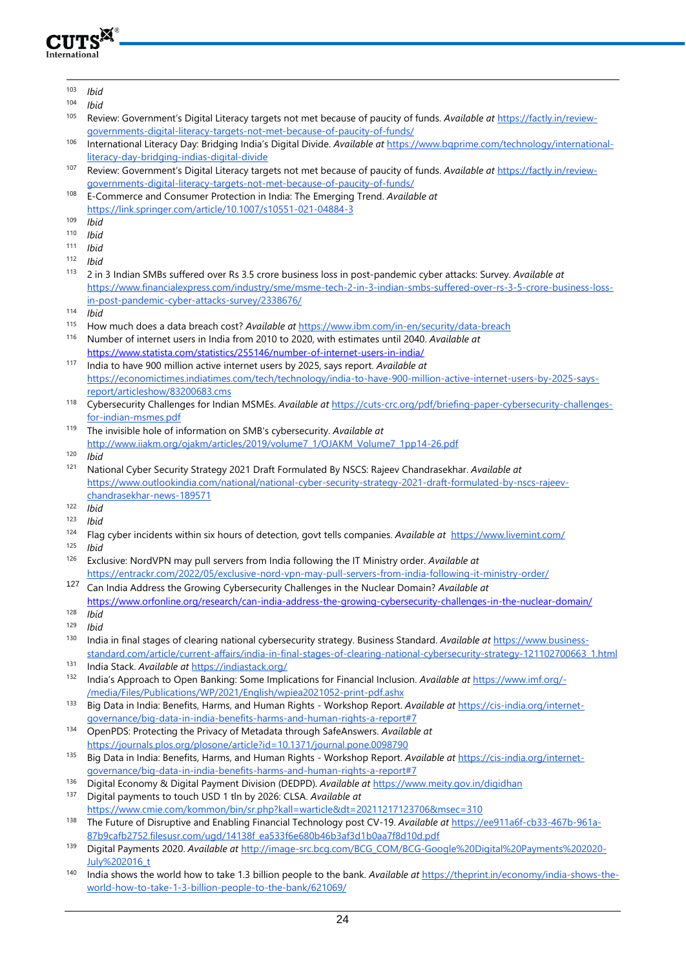

*Ibid*

- *Ibid*
- Review: Government's Digital Literacy targets not met because of paucity of funds. *Available at* [https://factly.in/review](https://factly.in/review-governments-digital-literacy-targets-not-met-because-of-paucity-of-funds/)[governments-digital-literacy-targets-not-met-because-of-paucity-of-funds/](https://factly.in/review-governments-digital-literacy-targets-not-met-because-of-paucity-of-funds/)
- International Literacy Day: Bridging India's Digital Divide. *Available at* [https://www.bqprime.com/technology/international](https://www.bqprime.com/technology/international-literacy-day-bridging-indias-digital-divide)[literacy-day-bridging-indias-digital-divide](https://www.bqprime.com/technology/international-literacy-day-bridging-indias-digital-divide)
- Review: Government's Digital Literacy targets not met because of paucity of funds. *Available at* [https://factly.in/review](https://factly.in/review-governments-digital-literacy-targets-not-met-because-of-paucity-of-funds/)[governments-digital-literacy-targets-not-met-because-of-paucity-of-funds/](https://factly.in/review-governments-digital-literacy-targets-not-met-because-of-paucity-of-funds/)
- E-Commerce and Consumer Protection in India: The Emerging Trend. *Available at*  <https://link.springer.com/article/10.1007/s10551-021-04884-3>
- *Ibid*
- *Ibid*
- *Ibid*
- *Ibid*
- 2 in 3 Indian SMBs suffered over Rs 3.5 crore business loss in post-pandemic cyber attacks: Survey. *Available at*  [https://www.financialexpress.com/industry/sme/msme-tech-2-in-3-indian-smbs-suffered-over-rs-3-5-crore-business-loss](https://www.financialexpress.com/industry/sme/msme-tech-2-in-3-indian-smbs-suffered-over-rs-3-5-crore-business-loss-in-post-pandemic-cyber-attacks-survey/2338676/)[in-post-pandemic-cyber-attacks-survey/2338676/](https://www.financialexpress.com/industry/sme/msme-tech-2-in-3-indian-smbs-suffered-over-rs-3-5-crore-business-loss-in-post-pandemic-cyber-attacks-survey/2338676/)
- *Ibid*
- How much does a data breach cost? *Available at* <https://www.ibm.com/in-en/security/data-breach>
- Number of internet users in India from 2010 to 2020, with estimates until 2040. *Available at* <https://www.statista.com/statistics/255146/number-of-internet-users-in-india/>
- India to have 900 million active internet users by 2025, says report. *Available at*  [https://economictimes.indiatimes.com/tech/technology/india-to-have-900-million-active-internet-users-by-2025-says](https://economictimes.indiatimes.com/tech/technology/india-to-have-900-million-active-internet-users-by-2025-says-report/articleshow/83200683.cms)[report/articleshow/83200683.cms](https://economictimes.indiatimes.com/tech/technology/india-to-have-900-million-active-internet-users-by-2025-says-report/articleshow/83200683.cms)
- Cybersecurity Challenges for Indian MSMEs. *Available at* [https://cuts-crc.org/pdf/briefing-paper-cybersecurity-challenges](https://cuts-crc.org/pdf/briefing-paper-cybersecurity-challenges-for-indian-msmes.pdf)[for-indian-msmes.pdf](https://cuts-crc.org/pdf/briefing-paper-cybersecurity-challenges-for-indian-msmes.pdf)
- The invisible hole of information on SMB's cybersecurity. *Available at*  [http://www.iiakm.org/ojakm/articles/2019/volume7\\_1/OJAKM\\_Volume7\\_1pp14-26.pdf](http://www.iiakm.org/ojakm/articles/2019/volume7_1/OJAKM_Volume7_1pp14-26.pdf)
- *Ibid*
- National Cyber Security Strategy 2021 Draft Formulated By NSCS: Rajeev Chandrasekhar. *Available at*  [https://www.outlookindia.com/national/national-cyber-security-strategy-2021-draft-formulated-by-nscs-rajeev](https://www.outlookindia.com/national/national-cyber-security-strategy-2021-draft-formulated-by-nscs-rajeev-chandrasekhar-news-189571)[chandrasekhar-news-189571](https://www.outlookindia.com/national/national-cyber-security-strategy-2021-draft-formulated-by-nscs-rajeev-chandrasekhar-news-189571)
- *Ibid*
- *Ibid*
- Flag cyber incidents within six hours of detection, govt tells companies. *Available at* <https://www.livemint.com/>
- *Ibid*
- Exclusive: NordVPN may pull servers from India following the IT Ministry order. *Available at* <https://entrackr.com/2022/05/exclusive-nord-vpn-may-pull-servers-from-india-following-it-ministry-order/>
- Can India Address the Growing Cybersecurity Challenges in the Nuclear Domain? *Available at*  <https://www.orfonline.org/research/can-india-address-the-growing-cybersecurity-challenges-in-the-nuclear-domain/>
- *Ibid*

- India in final stages of clearing national cybersecurity strategy. Business Standard. *Available at* [https://www.business](https://www.business-standard.com/article/current-affairs/india-in-final-stages-of-clearing-national-cybersecurity-strategy-121102700663_1.html)[standard.com/article/current-affairs/india-in-final-stages-of-clearing-national-cybersecurity-strategy-121102700663\\_1.html](https://www.business-standard.com/article/current-affairs/india-in-final-stages-of-clearing-national-cybersecurity-strategy-121102700663_1.html)
- India Stack. *Available at* <https://indiastack.org/>
- India's Approach to Open Banking: Some Implications for Financial Inclusion. *Available at* [https://www.imf.org/-](https://www.imf.org/-/media/Files/Publications/WP/2021/English/wpiea2021052-print-pdf.ashx) [/media/Files/Publications/WP/2021/English/wpiea2021052-print-pdf.ashx](https://www.imf.org/-/media/Files/Publications/WP/2021/English/wpiea2021052-print-pdf.ashx)
- Big Data in India: Benefits, Harms, and Human Rights Workshop Report. *Available at* [https://cis-india.org/internet](https://cis-india.org/internet-governance/big-data-in-india-benefits-harms-and-human-rights-a-report#7)[governance/big-data-in-india-benefits-harms-and-human-rights-a-report#7](https://cis-india.org/internet-governance/big-data-in-india-benefits-harms-and-human-rights-a-report#7)
- OpenPDS: Protecting the Privacy of Metadata through SafeAnswers. *Available at*  <https://journals.plos.org/plosone/article?id=10.1371/journal.pone.0098790>
- Big Data in India: Benefits, Harms, and Human Rights Workshop Report. *Available at* [https://cis-india.org/internet](https://cis-india.org/internet-governance/big-data-in-india-benefits-harms-and-human-rights-a-report#7)[governance/big-data-in-india-benefits-harms-and-human-rights-a-report#7](https://cis-india.org/internet-governance/big-data-in-india-benefits-harms-and-human-rights-a-report#7)
- Digital Economy & Digital Payment Division (DEDPD). *Available at* <https://www.meity.gov.in/digidhan> Digital payments to touch USD 1 tln by 2026: CLSA. *Available at*
- <https://www.cmie.com/kommon/bin/sr.php?kall=warticle&dt=20211217123706&msec=310> The Future of Disruptive and Enabling Financial Technology post CV-19. *Available at* [https://ee911a6f-cb33-467b-961a-](https://ee911a6f-cb33-467b-961a-87b9cafb2752.filesusr.com/ugd/14138f_ea533f6e680b46b3af3d1b0aa7f8d10d.pdf)[87b9cafb2752.filesusr.com/ugd/14138f\\_ea533f6e680b46b3af3d1b0aa7f8d10d.pdf](https://ee911a6f-cb33-467b-961a-87b9cafb2752.filesusr.com/ugd/14138f_ea533f6e680b46b3af3d1b0aa7f8d10d.pdf)
- Digital Payments 2020. *Available at* [http://image-src.bcg.com/BCG\\_COM/BCG-Google%20Digital%20Payments%202020-](http://image-src.bcg.com/BCG_COM/BCG-Google%20Digital%20Payments%202020-July%202016_t) [July%202016\\_t](http://image-src.bcg.com/BCG_COM/BCG-Google%20Digital%20Payments%202020-July%202016_t)
- India shows the world how to take 1.3 billion people to the bank. *Available at* [https://theprint.in/economy/india-shows-the](https://theprint.in/economy/india-shows-the-world-how-to-take-1-3-billion-people-to-the-bank/621069/)[world-how-to-take-1-3-billion-people-to-the-bank/621069/](https://theprint.in/economy/india-shows-the-world-how-to-take-1-3-billion-people-to-the-bank/621069/)

*Ibid*